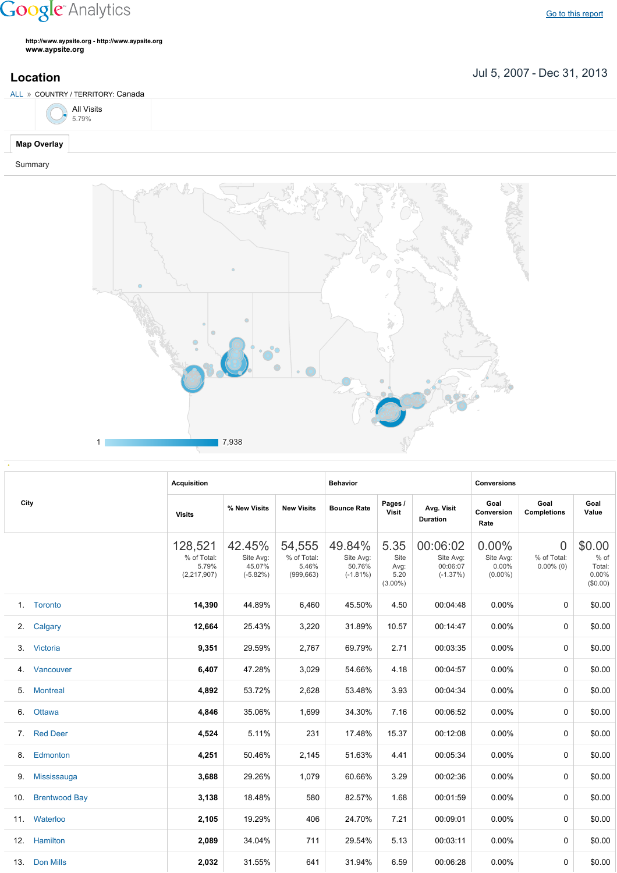## **Google** Analytics

Go to this [report](https://www.google.com/analytics/web/?utm_source=pdfReportLink#report/visitors-geo/a2184169w3912412p4016214/%3F_u.date00%3D20070705%26_u.date01%3D20131231%26geo-table.plotKeys%3D%5B%5D%26geo-table.rowStart%3D0%26geo-table.rowCount%3D1000%26_r.drilldown%3Danalytics.country%3ACA%26geo-segmentExplorer.segmentId%3Danalytics.city/)

**http://www.aypsite.org http://www.aypsite.org www.aypsite.org**

Jul 5, 2007 Dec 31, 2013 **Location**





|      |                      | <b>Acquisition</b>                             |                                             |                                              | <b>Behavior</b>                              |                                            |                                                 | <b>Conversions</b>                           |                                               |                                                 |
|------|----------------------|------------------------------------------------|---------------------------------------------|----------------------------------------------|----------------------------------------------|--------------------------------------------|-------------------------------------------------|----------------------------------------------|-----------------------------------------------|-------------------------------------------------|
| City |                      | <b>Visits</b>                                  | % New Visits                                | <b>New Visits</b>                            | <b>Bounce Rate</b>                           | Pages /<br>Visit                           | Avg. Visit<br><b>Duration</b>                   | Goal<br>Conversion<br>Rate                   | Goal<br><b>Completions</b>                    | Goal<br>Value                                   |
|      |                      | 128,521<br>% of Total:<br>5.79%<br>(2,217,907) | 42.45%<br>Site Avg:<br>45.07%<br>$(-5.82%)$ | 54,555<br>% of Total:<br>5.46%<br>(999, 663) | 49.84%<br>Site Avg:<br>50.76%<br>$(-1.81\%)$ | 5.35<br>Site<br>Avg:<br>5.20<br>$(3.00\%)$ | 00:06:02<br>Site Avg:<br>00:06:07<br>$(-1.37%)$ | 0.00%<br>Site Avg:<br>$0.00\%$<br>$(0.00\%)$ | $\overline{0}$<br>% of Total:<br>$0.00\%$ (0) | \$0.00<br>$%$ of<br>Total:<br>0.00%<br>(\$0.00) |
|      | 1. Toronto           | 14,390                                         | 44.89%                                      | 6,460                                        | 45.50%                                       | 4.50                                       | 00:04:48                                        | 0.00%                                        | 0                                             | \$0.00                                          |
| 2.   | Calgary              | 12,664                                         | 25.43%                                      | 3,220                                        | 31.89%                                       | 10.57                                      | 00:14:47                                        | 0.00%                                        | 0                                             | \$0.00                                          |
|      | 3. Victoria          | 9,351                                          | 29.59%                                      | 2,767                                        | 69.79%                                       | 2.71                                       | 00:03:35                                        | 0.00%                                        | $\Omega$                                      | \$0.00                                          |
|      | 4. Vancouver         | 6,407                                          | 47.28%                                      | 3,029                                        | 54.66%                                       | 4.18                                       | 00:04:57                                        | 0.00%                                        | 0                                             | \$0.00                                          |
| 5.   | <b>Montreal</b>      | 4,892                                          | 53.72%                                      | 2,628                                        | 53.48%                                       | 3.93                                       | 00:04:34                                        | 0.00%                                        | 0                                             | \$0.00                                          |
| 6.   | Ottawa               | 4,846                                          | 35.06%                                      | 1,699                                        | 34.30%                                       | 7.16                                       | 00:06:52                                        | 0.00%                                        | 0                                             | \$0.00                                          |
|      | 7. Red Deer          | 4,524                                          | 5.11%                                       | 231                                          | 17.48%                                       | 15.37                                      | 00:12:08                                        | 0.00%                                        | 0                                             | \$0.00                                          |
|      | 8. Edmonton          | 4,251                                          | 50.46%                                      | 2,145                                        | 51.63%                                       | 4.41                                       | 00:05:34                                        | 0.00%                                        | 0                                             | \$0.00                                          |
| 9.   | Mississauga          | 3,688                                          | 29.26%                                      | 1,079                                        | 60.66%                                       | 3.29                                       | 00:02:36                                        | 0.00%                                        | 0                                             | \$0.00                                          |
| 10.  | <b>Brentwood Bay</b> | 3,138                                          | 18.48%                                      | 580                                          | 82.57%                                       | 1.68                                       | 00:01:59                                        | 0.00%                                        | 0                                             | \$0.00                                          |
|      | 11. Waterloo         | 2,105                                          | 19.29%                                      | 406                                          | 24.70%                                       | 7.21                                       | 00:09:01                                        | 0.00%                                        | 0                                             | \$0.00                                          |
|      | 12. Hamilton         | 2,089                                          | 34.04%                                      | 711                                          | 29.54%                                       | 5.13                                       | 00:03:11                                        | 0.00%                                        | 0                                             | \$0.00                                          |
|      | 13. Don Mills        | 2,032                                          | 31.55%                                      | 641                                          | 31.94%                                       | 6.59                                       | 00:06:28                                        | 0.00%                                        | 0                                             | \$0.00                                          |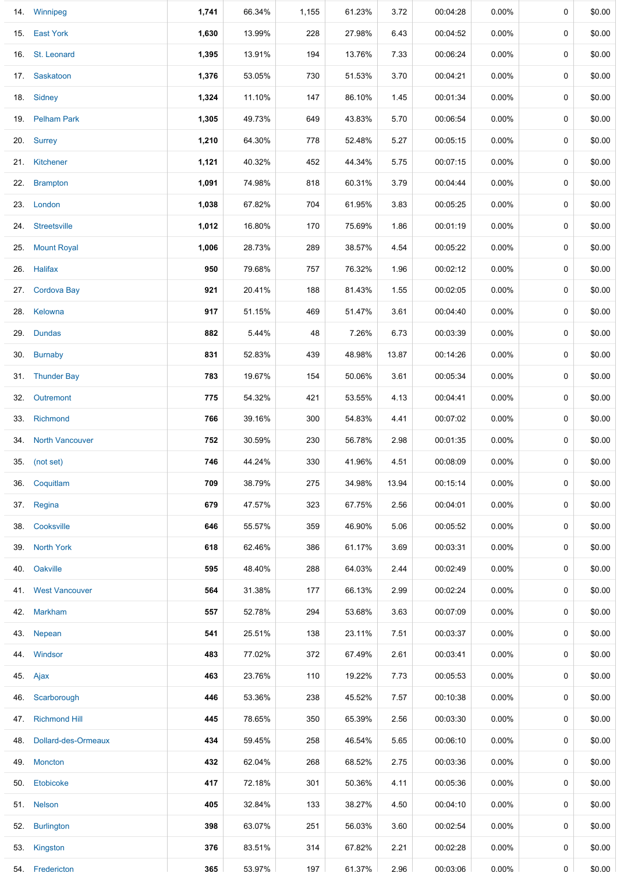|     | 14. Winnipeg            | 1,741 | 66.34% | 1,155 | 61.23% | 3.72  | 00:04:28 | $0.00\%$ | 0           | \$0.00 |
|-----|-------------------------|-------|--------|-------|--------|-------|----------|----------|-------------|--------|
|     | 15. East York           | 1,630 | 13.99% | 228   | 27.98% | 6.43  | 00:04:52 | $0.00\%$ | 0           | \$0.00 |
|     | 16. St. Leonard         | 1,395 | 13.91% | 194   | 13.76% | 7.33  | 00:06:24 | 0.00%    | 0           | \$0.00 |
|     | 17. Saskatoon           | 1,376 | 53.05% | 730   | 51.53% | 3.70  | 00:04:21 | $0.00\%$ | 0           | \$0.00 |
|     | 18. Sidney              | 1,324 | 11.10% | 147   | 86.10% | 1.45  | 00:01:34 | $0.00\%$ | 0           | \$0.00 |
|     | 19. Pelham Park         | 1,305 | 49.73% | 649   | 43.83% | 5.70  | 00:06:54 | $0.00\%$ | 0           | \$0.00 |
|     | 20. Surrey              | 1,210 | 64.30% | 778   | 52.48% | 5.27  | 00:05:15 | $0.00\%$ | 0           | \$0.00 |
|     | 21. Kitchener           | 1,121 | 40.32% | 452   | 44.34% | 5.75  | 00:07:15 | $0.00\%$ | 0           | \$0.00 |
|     | 22. Brampton            | 1,091 | 74.98% | 818   | 60.31% | 3.79  | 00:04:44 | $0.00\%$ | $\mathbf 0$ | \$0.00 |
|     | 23. London              | 1,038 | 67.82% | 704   | 61.95% | 3.83  | 00:05:25 | $0.00\%$ | 0           | \$0.00 |
|     | 24. Streetsville        | 1,012 | 16.80% | 170   | 75.69% | 1.86  | 00:01:19 | $0.00\%$ | 0           | \$0.00 |
|     | 25. Mount Royal         | 1,006 | 28.73% | 289   | 38.57% | 4.54  | 00:05:22 | 0.00%    | 0           | \$0.00 |
|     | 26. Halifax             | 950   | 79.68% | 757   | 76.32% | 1.96  | 00:02:12 | $0.00\%$ | 0           | \$0.00 |
|     | 27. Cordova Bay         | 921   | 20.41% | 188   | 81.43% | 1.55  | 00:02:05 | 0.00%    | 0           | \$0.00 |
|     | 28. Kelowna             | 917   | 51.15% | 469   | 51.47% | 3.61  | 00:04:40 | $0.00\%$ | 0           | \$0.00 |
|     | 29. Dundas              | 882   | 5.44%  | 48    | 7.26%  | 6.73  | 00:03:39 | $0.00\%$ | $\mathbf 0$ | \$0.00 |
|     | 30. Burnaby             | 831   | 52.83% | 439   | 48.98% | 13.87 | 00:14:26 | $0.00\%$ | 0           | \$0.00 |
|     | 31. Thunder Bay         | 783   | 19.67% | 154   | 50.06% | 3.61  | 00:05:34 | 0.00%    | $\mathbf 0$ | \$0.00 |
|     | 32. Outremont           | 775   | 54.32% | 421   | 53.55% | 4.13  | 00:04:41 | $0.00\%$ | 0           | \$0.00 |
|     | 33. Richmond            | 766   | 39.16% | 300   | 54.83% | 4.41  | 00:07:02 | $0.00\%$ | 0           | \$0.00 |
|     | 34. North Vancouver     | 752   | 30.59% | 230   | 56.78% | 2.98  | 00:01:35 | $0.00\%$ | 0           | \$0.00 |
|     | 35. (not set)           | 746   | 44.24% | 330   | 41.96% | 4.51  | 00:08:09 | $0.00\%$ | 0           | \$0.00 |
|     | 36. Coquitlam           | 709   | 38.79% | 275   | 34.98% | 13.94 | 00:15:14 | $0.00\%$ | $\mathbf 0$ | \$0.00 |
|     | 37. Regina              | 679   | 47.57% | 323   | 67.75% | 2.56  | 00:04:01 | $0.00\%$ | 0           | \$0.00 |
|     | 38. Cooksville          | 646   | 55.57% | 359   | 46.90% | 5.06  | 00:05:52 | $0.00\%$ | $\mathbf 0$ | \$0.00 |
|     | 39. North York          | 618   | 62.46% | 386   | 61.17% | 3.69  | 00:03:31 | $0.00\%$ | 0           | \$0.00 |
|     | 40. Oakville            | 595   | 48.40% | 288   | 64.03% | 2.44  | 00:02:49 | 0.00%    | 0           | \$0.00 |
|     | 41. West Vancouver      | 564   | 31.38% | 177   | 66.13% | 2.99  | 00:02:24 | $0.00\%$ | 0           | \$0.00 |
|     | 42. Markham             | 557   | 52.78% | 294   | 53.68% | 3.63  | 00:07:09 | $0.00\%$ | 0           | \$0.00 |
|     | 43. Nepean              | 541   | 25.51% | 138   | 23.11% | 7.51  | 00:03:37 | $0.00\%$ | 0           | \$0.00 |
|     | 44. Windsor             | 483   | 77.02% | 372   | 67.49% | 2.61  | 00:03:41 | 0.00%    | 0           | \$0.00 |
|     | 45. Ajax                | 463   | 23.76% | 110   | 19.22% | 7.73  | 00:05:53 | 0.00%    | $\mathbf 0$ | \$0.00 |
|     | 46. Scarborough         | 446   | 53.36% | 238   | 45.52% | 7.57  | 00:10:38 | $0.00\%$ | 0           | \$0.00 |
|     | 47. Richmond Hill       | 445   | 78.65% | 350   | 65.39% | 2.56  | 00:03:30 | $0.00\%$ | 0           | \$0.00 |
|     | 48. Dollard-des-Ormeaux | 434   | 59.45% | 258   | 46.54% | 5.65  | 00:06:10 | 0.00%    | 0           | \$0.00 |
|     | 49. Moncton             | 432   | 62.04% | 268   | 68.52% | 2.75  | 00:03:36 | $0.00\%$ | 0           | \$0.00 |
|     | 50. Etobicoke           | 417   | 72.18% | 301   | 50.36% | 4.11  | 00:05:36 | 0.00%    | 0           | \$0.00 |
|     | 51. Nelson              | 405   | 32.84% | 133   | 38.27% | 4.50  | 00:04:10 | 0.00%    | 0           | \$0.00 |
| 52. | <b>Burlington</b>       | 398   | 63.07% | 251   | 56.03% | 3.60  | 00:02:54 | 0.00%    | 0           | \$0.00 |
|     | 53. Kingston            | 376   | 83.51% | 314   | 67.82% | 2.21  | 00:02:28 | $0.00\%$ | 0           | \$0.00 |
| 54. | Fredericton             | 365   | 53.97% | 197   | 61.37% | 2.96  | 00:03:06 | $0.00\%$ | 0           | \$0.00 |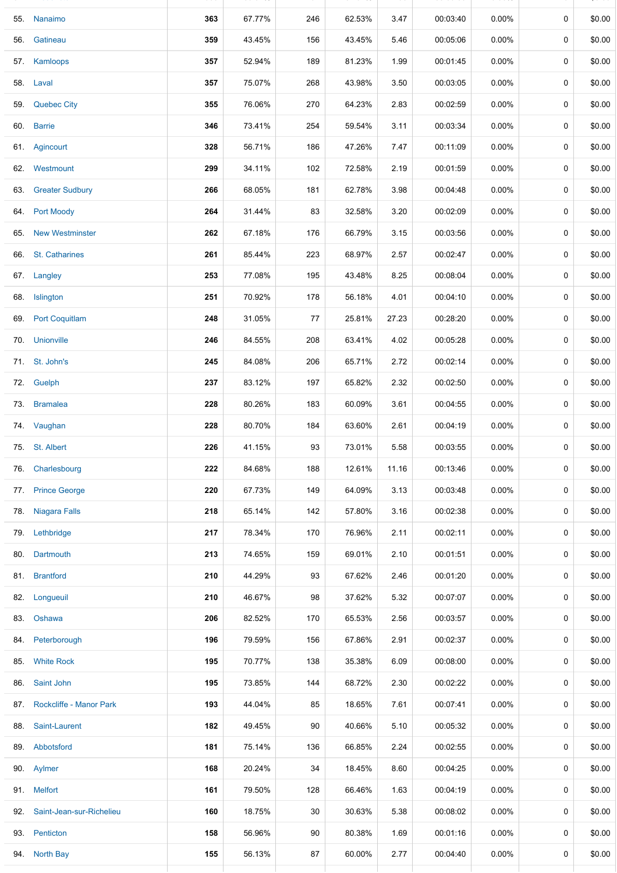|     | 55. Nanaimo                  | 363 | 67.77% | 246 | 62.53% | 3.47  | 00:03:40 | $0.00\%$ | 0           | \$0.00 |
|-----|------------------------------|-----|--------|-----|--------|-------|----------|----------|-------------|--------|
|     | 56. Gatineau                 | 359 | 43.45% | 156 | 43.45% | 5.46  | 00:05:06 | $0.00\%$ | 0           | \$0.00 |
|     | 57. Kamloops                 | 357 | 52.94% | 189 | 81.23% | 1.99  | 00:01:45 | 0.00%    | 0           | \$0.00 |
| 58. | Laval                        | 357 | 75.07% | 268 | 43.98% | 3.50  | 00:03:05 | $0.00\%$ | 0           | \$0.00 |
|     | 59. Quebec City              | 355 | 76.06% | 270 | 64.23% | 2.83  | 00:02:59 | $0.00\%$ | 0           | \$0.00 |
|     | 60. Barrie                   | 346 | 73.41% | 254 | 59.54% | 3.11  | 00:03:34 | $0.00\%$ | 0           | \$0.00 |
|     | 61. Agincourt                | 328 | 56.71% | 186 | 47.26% | 7.47  | 00:11:09 | $0.00\%$ | 0           | \$0.00 |
|     | 62. Westmount                | 299 | 34.11% | 102 | 72.58% | 2.19  | 00:01:59 | $0.00\%$ | $\mathbf 0$ | \$0.00 |
|     | 63. Greater Sudbury          | 266 | 68.05% | 181 | 62.78% | 3.98  | 00:04:48 | $0.00\%$ | 0           | \$0.00 |
|     | 64. Port Moody               | 264 | 31.44% | 83  | 32.58% | 3.20  | 00:02:09 | $0.00\%$ | $\mathbf 0$ | \$0.00 |
| 65. | <b>New Westminster</b>       | 262 | 67.18% | 176 | 66.79% | 3.15  | 00:03:56 | $0.00\%$ | 0           | \$0.00 |
|     | 66. St. Catharines           | 261 | 85.44% | 223 | 68.97% | 2.57  | 00:02:47 | $0.00\%$ | 0           | \$0.00 |
|     | 67. Langley                  | 253 | 77.08% | 195 | 43.48% | 8.25  | 00:08:04 | 0.00%    | 0           | \$0.00 |
|     | 68. Islington                | 251 | 70.92% | 178 | 56.18% | 4.01  | 00:04:10 | 0.00%    | 0           | \$0.00 |
|     | 69. Port Coquitlam           | 248 | 31.05% | 77  | 25.81% | 27.23 | 00:28:20 | $0.00\%$ | 0           | \$0.00 |
|     | 70. Unionville               | 246 | 84.55% | 208 | 63.41% | 4.02  | 00:05:28 | $0.00\%$ | 0           | \$0.00 |
|     | 71. St. John's               | 245 | 84.08% | 206 | 65.71% | 2.72  | 00:02:14 | $0.00\%$ | 0           | \$0.00 |
|     | 72. Guelph                   | 237 | 83.12% | 197 | 65.82% | 2.32  | 00:02:50 | $0.00\%$ | 0           | \$0.00 |
|     | 73. Bramalea                 | 228 | 80.26% | 183 | 60.09% | 3.61  | 00:04:55 | $0.00\%$ | $\mathbf 0$ | \$0.00 |
|     | 74. Vaughan                  | 228 | 80.70% | 184 | 63.60% | 2.61  | 00:04:19 | $0.00\%$ | 0           | \$0.00 |
|     | 75. St. Albert               | 226 | 41.15% | 93  | 73.01% | 5.58  | 00:03:55 | 0.00%    | 0           | \$0.00 |
|     | 76. Charlesbourg             | 222 | 84.68% | 188 | 12.61% | 11.16 | 00:13:46 | $0.00\%$ | 0           | \$0.00 |
|     | 77. Prince George            | 220 | 67.73% | 149 | 64.09% | 3.13  | 00:03:48 | 0.00%    | 0           | \$0.00 |
|     | 78. Niagara Falls            | 218 | 65.14% | 142 | 57.80% | 3.16  | 00:02:38 | $0.00\%$ | 0           | \$0.00 |
|     | 79. Lethbridge               | 217 | 78.34% | 170 | 76.96% | 2.11  | 00:02:11 | $0.00\%$ | 0           | \$0.00 |
|     | 80. Dartmouth                | 213 | 74.65% | 159 | 69.01% | 2.10  | 00:01:51 | 0.00%    | $\mathbf 0$ | \$0.00 |
|     | 81. Brantford                | 210 | 44.29% | 93  | 67.62% | 2.46  | 00:01:20 | $0.00\%$ | 0           | \$0.00 |
|     | 82. Longueuil                | 210 | 46.67% | 98  | 37.62% | 5.32  | 00:07:07 | $0.00\%$ | $\mathbf 0$ | \$0.00 |
|     | 83. Oshawa                   | 206 | 82.52% | 170 | 65.53% | 2.56  | 00:03:57 | $0.00\%$ | 0           | \$0.00 |
|     | 84. Peterborough             | 196 | 79.59% | 156 | 67.86% | 2.91  | 00:02:37 | $0.00\%$ | 0           | \$0.00 |
|     | 85. White Rock               | 195 | 70.77% | 138 | 35.38% | 6.09  | 00:08:00 | $0.00\%$ | 0           | \$0.00 |
|     | 86. Saint John               | 195 | 73.85% | 144 | 68.72% | 2.30  | 00:02:22 | $0.00\%$ | 0           | \$0.00 |
|     | 87. Rockcliffe - Manor Park  | 193 | 44.04% | 85  | 18.65% | 7.61  | 00:07:41 | $0.00\%$ | 0           | \$0.00 |
|     | 88. Saint-Laurent            | 182 | 49.45% | 90  | 40.66% | 5.10  | 00:05:32 | $0.00\%$ | 0           | \$0.00 |
|     | 89. Abbotsford               | 181 | 75.14% | 136 | 66.85% | 2.24  | 00:02:55 | $0.00\%$ | 0           | \$0.00 |
|     | 90. Aylmer                   | 168 | 20.24% | 34  | 18.45% | 8.60  | 00:04:25 | $0.00\%$ | 0           | \$0.00 |
|     | 91. Melfort                  | 161 | 79.50% | 128 | 66.46% | 1.63  | 00:04:19 | 0.00%    | $\mathbf 0$ | \$0.00 |
|     | 92. Saint-Jean-sur-Richelieu | 160 | 18.75% | 30  | 30.63% | 5.38  | 00:08:02 | $0.00\%$ | 0           | \$0.00 |
|     | 93. Penticton                | 158 | 56.96% | 90  | 80.38% | 1.69  | 00:01:16 | $0.00\%$ | 0           | \$0.00 |
|     | 94. North Bay                | 155 | 56.13% | 87  | 60.00% | 2.77  | 00:04:40 | $0.00\%$ | 0           | \$0.00 |
|     |                              |     |        |     |        |       |          |          |             |        |

54. Fredericton **365** 53.97% 197 61.37% 2.96 00:03:06 0.00% 0 \$0.00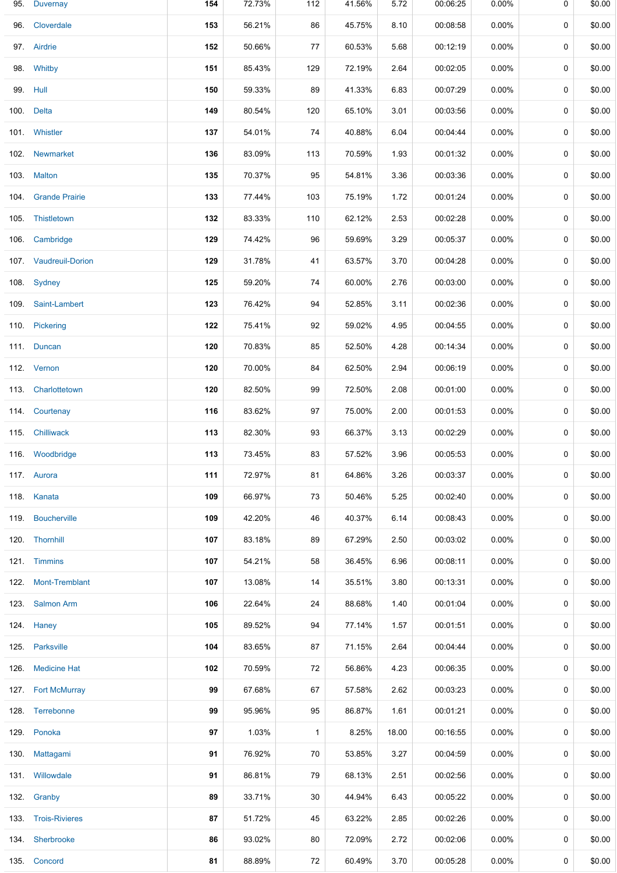| 95. Duvernay          | 154 | 72.73% | 112          | 41.56% | 5.72  | 00:06:25 | $0.00\%$ | 0           | \$0.00 |
|-----------------------|-----|--------|--------------|--------|-------|----------|----------|-------------|--------|
| 96. Cloverdale        | 153 | 56.21% | 86           | 45.75% | 8.10  | 00:08:58 | $0.00\%$ | 0           | \$0.00 |
| 97. Airdrie           | 152 | 50.66% | 77           | 60.53% | 5.68  | 00:12:19 | $0.00\%$ | $\mathbf 0$ | \$0.00 |
| 98. Whitby            | 151 | 85.43% | 129          | 72.19% | 2.64  | 00:02:05 | $0.00\%$ | 0           | \$0.00 |
| 99. Hull              | 150 | 59.33% | 89           | 41.33% | 6.83  | 00:07:29 | $0.00\%$ | $\mathbf 0$ | \$0.00 |
| 100. Delta            | 149 | 80.54% | 120          | 65.10% | 3.01  | 00:03:56 | $0.00\%$ | 0           | \$0.00 |
| 101. Whistler         | 137 | 54.01% | 74           | 40.88% | 6.04  | 00:04:44 | $0.00\%$ | 0           | \$0.00 |
| 102. Newmarket        | 136 | 83.09% | 113          | 70.59% | 1.93  | 00:01:32 | $0.00\%$ | 0           | \$0.00 |
| 103. Malton           | 135 | 70.37% | 95           | 54.81% | 3.36  | 00:03:36 | $0.00\%$ | 0           | \$0.00 |
| 104. Grande Prairie   | 133 | 77.44% | 103          | 75.19% | 1.72  | 00:01:24 | $0.00\%$ | $\mathbf 0$ | \$0.00 |
| 105. Thistletown      | 132 | 83.33% | 110          | 62.12% | 2.53  | 00:02:28 | $0.00\%$ | 0           | \$0.00 |
| 106. Cambridge        | 129 | 74.42% | 96           | 59.69% | 3.29  | 00:05:37 | 0.00%    | 0           | \$0.00 |
| 107. Vaudreuil-Dorion | 129 | 31.78% | 41           | 63.57% | 3.70  | 00:04:28 | $0.00\%$ | 0           | \$0.00 |
| 108. Sydney           | 125 | 59.20% | 74           | 60.00% | 2.76  | 00:03:00 | $0.00\%$ | $\mathbf 0$ | \$0.00 |
| 109. Saint-Lambert    | 123 | 76.42% | 94           | 52.85% | 3.11  | 00:02:36 | $0.00\%$ | 0           | \$0.00 |
| 110. Pickering        | 122 | 75.41% | 92           | 59.02% | 4.95  | 00:04:55 | $0.00\%$ | 0           | \$0.00 |
| 111. Duncan           | 120 | 70.83% | 85           | 52.50% | 4.28  | 00:14:34 | $0.00\%$ | 0           | \$0.00 |
| 112. Vernon           | 120 | 70.00% | 84           | 62.50% | 2.94  | 00:06:19 | $0.00\%$ | 0           | \$0.00 |
| 113. Charlottetown    | 120 | 82.50% | 99           | 72.50% | 2.08  | 00:01:00 | $0.00\%$ | 0           | \$0.00 |
| 114. Courtenay        | 116 | 83.62% | 97           | 75.00% | 2.00  | 00:01:53 | $0.00\%$ | 0           | \$0.00 |
| 115. Chilliwack       | 113 | 82.30% | 93           | 66.37% | 3.13  | 00:02:29 | $0.00\%$ | 0           | \$0.00 |
| 116. Woodbridge       | 113 | 73.45% | 83           | 57.52% | 3.96  | 00:05:53 | $0.00\%$ | 0           | \$0.00 |
| 117. Aurora           | 111 | 72.97% | 81           | 64.86% | 3.26  | 00:03:37 | 0.00%    | 0           | \$0.00 |
| 118. Kanata           | 109 | 66.97% | 73           | 50.46% | 5.25  | 00:02:40 | $0.00\%$ | 0           | \$0.00 |
| 119. Boucherville     | 109 | 42.20% | 46           | 40.37% | 6.14  | 00:08:43 | $0.00\%$ | 0           | \$0.00 |
| 120. Thornhill        | 107 | 83.18% | 89           | 67.29% | 2.50  | 00:03:02 | $0.00\%$ | 0           | \$0.00 |
| 121. Timmins          | 107 | 54.21% | 58           | 36.45% | 6.96  | 00:08:11 | $0.00\%$ | 0           | \$0.00 |
| 122. Mont-Tremblant   | 107 | 13.08% | 14           | 35.51% | 3.80  | 00:13:31 | $0.00\%$ | 0           | \$0.00 |
| 123. Salmon Arm       | 106 | 22.64% | 24           | 88.68% | 1.40  | 00:01:04 | $0.00\%$ | 0           | \$0.00 |
| 124. Haney            | 105 | 89.52% | 94           | 77.14% | 1.57  | 00:01:51 | $0.00\%$ | $\mathbf 0$ | \$0.00 |
| 125. Parksville       | 104 | 83.65% | 87           | 71.15% | 2.64  | 00:04:44 | $0.00\%$ | 0           | \$0.00 |
| 126. Medicine Hat     | 102 | 70.59% | 72           | 56.86% | 4.23  | 00:06:35 | $0.00\%$ | 0           | \$0.00 |
| 127. Fort McMurray    | 99  | 67.68% | 67           | 57.58% | 2.62  | 00:03:23 | $0.00\%$ | 0           | \$0.00 |
| 128. Terrebonne       | 99  | 95.96% | 95           | 86.87% | 1.61  | 00:01:21 | $0.00\%$ | 0           | \$0.00 |
| 129. Ponoka           | 97  | 1.03%  | $\mathbf{1}$ | 8.25%  | 18.00 | 00:16:55 | $0.00\%$ | 0           | \$0.00 |
| 130. Mattagami        | 91  | 76.92% | 70           | 53.85% | 3.27  | 00:04:59 | $0.00\%$ | 0           | \$0.00 |
| 131. Willowdale       | 91  | 86.81% | 79           | 68.13% | 2.51  | 00:02:56 | $0.00\%$ | 0           | \$0.00 |
| 132. Granby           | 89  | 33.71% | 30           | 44.94% | 6.43  | 00:05:22 | $0.00\%$ | 0           | \$0.00 |
| 133. Trois-Rivieres   | 87  | 51.72% | 45           | 63.22% | 2.85  | 00:02:26 | $0.00\%$ | 0           | \$0.00 |
| 134. Sherbrooke       | 86  | 93.02% | 80           | 72.09% | 2.72  | 00:02:06 | $0.00\%$ | 0           | \$0.00 |
| 135. Concord          | 81  | 88.89% | 72           | 60.49% | 3.70  | 00:05:28 | 0.00%    | 0           | \$0.00 |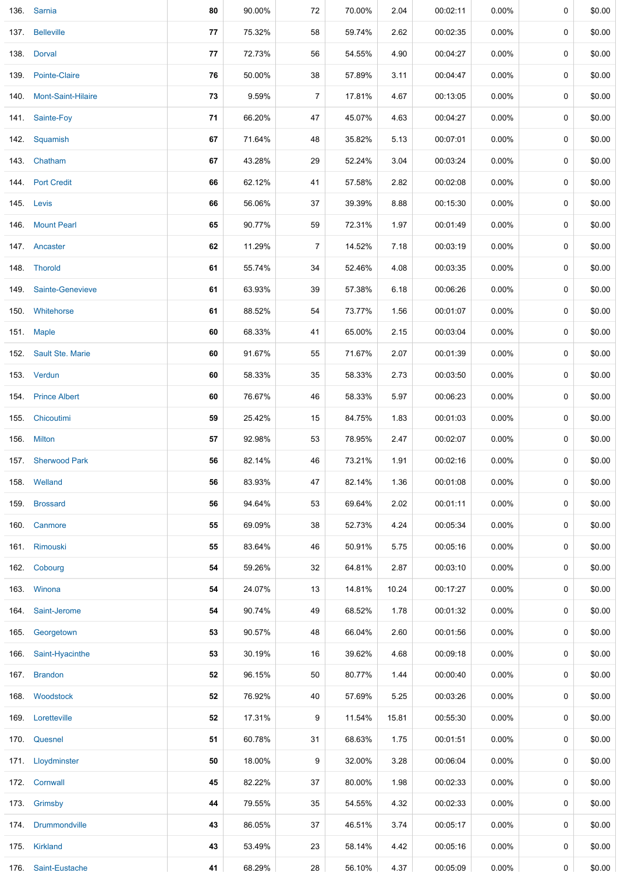|      | 136. Sarnia             | 80 | 90.00% | 72             | 70.00% | 2.04  | 00:02:11 | 0.00%    | 0           | \$0.00 |
|------|-------------------------|----|--------|----------------|--------|-------|----------|----------|-------------|--------|
|      | 137. Belleville         | 77 | 75.32% | 58             | 59.74% | 2.62  | 00:02:35 | 0.00%    | 0           | \$0.00 |
|      | 138. Dorval             | 77 | 72.73% | 56             | 54.55% | 4.90  | 00:04:27 | 0.00%    | 0           | \$0.00 |
|      | 139. Pointe-Claire      | 76 | 50.00% | 38             | 57.89% | 3.11  | 00:04:47 | $0.00\%$ | 0           | \$0.00 |
|      | 140. Mont-Saint-Hilaire | 73 | 9.59%  | $\overline{7}$ | 17.81% | 4.67  | 00:13:05 | 0.00%    | 0           | \$0.00 |
|      | 141. Sainte-Foy         | 71 | 66.20% | 47             | 45.07% | 4.63  | 00:04:27 | $0.00\%$ | 0           | \$0.00 |
|      | 142. Squamish           | 67 | 71.64% | 48             | 35.82% | 5.13  | 00:07:01 | $0.00\%$ | 0           | \$0.00 |
|      | 143. Chatham            | 67 | 43.28% | 29             | 52.24% | 3.04  | 00:03:24 | 0.00%    | 0           | \$0.00 |
|      | 144. Port Credit        | 66 | 62.12% | 41             | 57.58% | 2.82  | 00:02:08 | $0.00\%$ | 0           | \$0.00 |
|      | 145. Levis              | 66 | 56.06% | 37             | 39.39% | 8.88  | 00:15:30 | $0.00\%$ | 0           | \$0.00 |
|      | 146 Mount Pearl         | 65 | 90.77% | 59             | 72.31% | 1.97  | 00:01:49 | $0.00\%$ | 0           | \$0.00 |
|      | 147. Ancaster           | 62 | 11.29% | $\overline{7}$ | 14.52% | 7.18  | 00:03:19 | 0.00%    | 0           | \$0.00 |
|      | 148. Thorold            | 61 | 55.74% | 34             | 52.46% | 4.08  | 00:03:35 | $0.00\%$ | 0           | \$0.00 |
|      | 149. Sainte-Genevieve   | 61 | 63.93% | 39             | 57.38% | 6.18  | 00:06:26 | 0.00%    | 0           | \$0.00 |
|      | 150. Whitehorse         | 61 | 88.52% | 54             | 73.77% | 1.56  | 00:01:07 | $0.00\%$ | 0           | \$0.00 |
|      | 151. Maple              | 60 | 68.33% | 41             | 65.00% | 2.15  | 00:03:04 | $0.00\%$ | 0           | \$0.00 |
|      | 152. Sault Ste. Marie   | 60 | 91.67% | 55             | 71.67% | 2.07  | 00:01:39 | 0.00%    | 0           | \$0.00 |
|      | 153. Verdun             | 60 | 58.33% | 35             | 58.33% | 2.73  | 00:03:50 | 0.00%    | 0           | \$0.00 |
|      | 154. Prince Albert      | 60 | 76.67% | 46             | 58.33% | 5.97  | 00:06:23 | 0.00%    | 0           | \$0.00 |
|      | 155. Chicoutimi         | 59 | 25.42% | 15             | 84.75% | 1.83  | 00:01:03 | 0.00%    | 0           | \$0.00 |
|      | 156. Milton             | 57 | 92.98% | 53             | 78.95% | 2.47  | 00:02:07 | $0.00\%$ | 0           | \$0.00 |
|      | 157. Sherwood Park      | 56 | 82.14% | 46             | 73.21% | 1.91  | 00:02:16 | $0.00\%$ | 0           | \$0.00 |
|      | 158. Welland            | 56 | 83.93% | 47             | 82.14% | 1.36  | 00:01:08 | 0.00%    | $\mathbf 0$ | \$0.00 |
|      | 159. Brossard           | 56 | 94.64% | 53             | 69.64% | 2.02  | 00:01:11 | 0.00%    | 0           | \$0.00 |
|      | 160. Canmore            | 55 | 69.09% | 38             | 52.73% | 4.24  | 00:05:34 | $0.00\%$ | 0           | \$0.00 |
|      | 161. Rimouski           | 55 | 83.64% | 46             | 50.91% | 5.75  | 00:05:16 | $0.00\%$ | 0           | \$0.00 |
|      | 162. Cobourg            | 54 | 59.26% | 32             | 64.81% | 2.87  | 00:03:10 | $0.00\%$ | 0           | \$0.00 |
|      | 163. Winona             | 54 | 24.07% | 13             | 14.81% | 10.24 | 00:17:27 | 0.00%    | 0           | \$0.00 |
|      | 164. Saint-Jerome       | 54 | 90.74% | 49             | 68.52% | 1.78  | 00:01:32 | $0.00\%$ | 0           | \$0.00 |
| 165. | Georgetown              | 53 | 90.57% | 48             | 66.04% | 2.60  | 00:01:56 | $0.00\%$ | 0           | \$0.00 |
|      | 166. Saint-Hyacinthe    | 53 | 30.19% | 16             | 39.62% | 4.68  | 00:09:18 | $0.00\%$ | 0           | \$0.00 |
|      | 167. Brandon            | 52 | 96.15% | 50             | 80.77% | 1.44  | 00:00:40 | $0.00\%$ | 0           | \$0.00 |
|      | 168. Woodstock          | 52 | 76.92% | 40             | 57.69% | 5.25  | 00:03:26 | $0.00\%$ | 0           | \$0.00 |
|      | 169. Loretteville       | 52 | 17.31% | 9              | 11.54% | 15.81 | 00:55:30 | $0.00\%$ | 0           | \$0.00 |
|      | 170. Quesnel            | 51 | 60.78% | 31             | 68.63% | 1.75  | 00:01:51 | $0.00\%$ | 0           | \$0.00 |
|      | 171. Lloydminster       | 50 | 18.00% | 9              | 32.00% | 3.28  | 00:06:04 | $0.00\%$ | 0           | \$0.00 |
|      | 172. Cornwall           | 45 | 82.22% | 37             | 80.00% | 1.98  | 00:02:33 | $0.00\%$ | 0           | \$0.00 |
|      | 173. Grimsby            | 44 | 79.55% | 35             | 54.55% | 4.32  | 00:02:33 | $0.00\%$ | 0           | \$0.00 |
|      | 174. Drummondville      | 43 | 86.05% | 37             | 46.51% | 3.74  | 00:05:17 | $0.00\%$ | 0           | \$0.00 |
|      | 175. Kirkland           | 43 | 53.49% | 23             | 58.14% | 4.42  | 00:05:16 | $0.00\%$ | 0           | \$0.00 |
| 176. | Saint-Eustache          | 41 | 68.29% | 28             | 56.10% | 4.37  | 00:05:09 | $0.00\%$ | 0           | \$0.00 |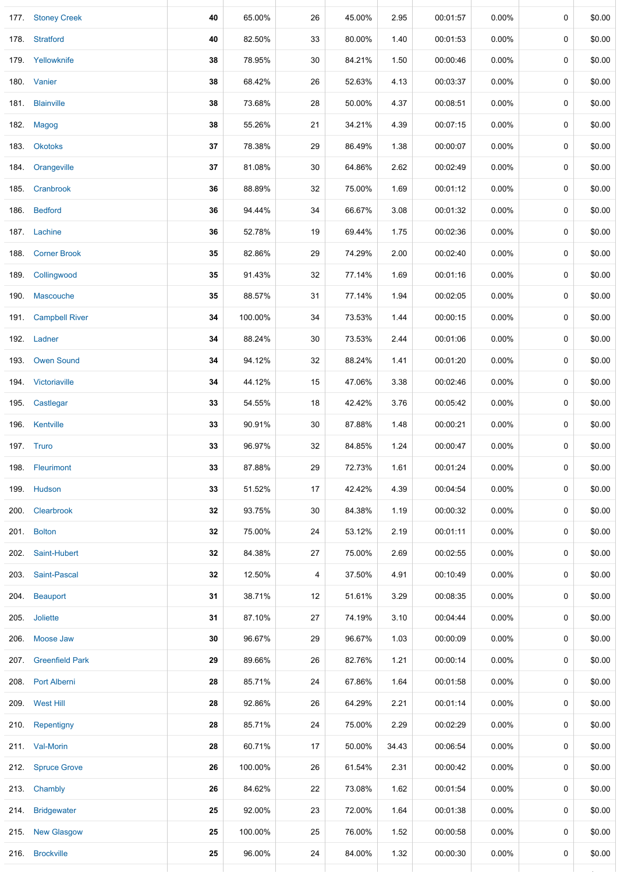| 177. Stoney Creek    | 40 | 65.00%  | 26     | 45.00% | 2.95  | 00:01:57 | $0.00\%$ | 0           | \$0.00 |
|----------------------|----|---------|--------|--------|-------|----------|----------|-------------|--------|
| 178. Stratford       | 40 | 82.50%  | 33     | 80.00% | 1.40  | 00:01:53 | $0.00\%$ | 0           | \$0.00 |
| 179. Yellowknife     | 38 | 78.95%  | 30     | 84.21% | 1.50  | 00:00:46 | $0.00\%$ | 0           | \$0.00 |
| 180. Vanier          | 38 | 68.42%  | 26     | 52.63% | 4.13  | 00:03:37 | 0.00%    | 0           | \$0.00 |
| 181. Blainville      | 38 | 73.68%  | 28     | 50.00% | 4.37  | 00:08:51 | $0.00\%$ | $\mathbf 0$ | \$0.00 |
| 182. Magog           | 38 | 55.26%  | 21     | 34.21% | 4.39  | 00:07:15 | $0.00\%$ | 0           | \$0.00 |
| 183. Okotoks         | 37 | 78.38%  | 29     | 86.49% | 1.38  | 00:00:07 | $0.00\%$ | 0           | \$0.00 |
| 184. Orangeville     | 37 | 81.08%  | 30     | 64.86% | 2.62  | 00:02:49 | 0.00%    | 0           | \$0.00 |
| 185. Cranbrook       | 36 | 88.89%  | 32     | 75.00% | 1.69  | 00:01:12 | $0.00\%$ | 0           | \$0.00 |
| 186. Bedford         | 36 | 94.44%  | 34     | 66.67% | 3.08  | 00:01:32 | $0.00\%$ | 0           | \$0.00 |
| 187. Lachine         | 36 | 52.78%  | 19     | 69.44% | 1.75  | 00:02:36 | $0.00\%$ | 0           | \$0.00 |
| 188. Corner Brook    | 35 | 82.86%  | 29     | 74.29% | 2.00  | 00:02:40 | $0.00\%$ | $\mathbf 0$ | \$0.00 |
| 189. Collingwood     | 35 | 91.43%  | 32     | 77.14% | 1.69  | 00:01:16 | $0.00\%$ | 0           | \$0.00 |
| 190. Mascouche       | 35 | 88.57%  | 31     | 77.14% | 1.94  | 00:02:05 | $0.00\%$ | 0           | \$0.00 |
| 191. Campbell River  | 34 | 100.00% | 34     | 73.53% | 1.44  | 00:00:15 | $0.00\%$ | 0           | \$0.00 |
| 192. Ladner          | 34 | 88.24%  | 30     | 73.53% | 2.44  | 00:01:06 | 0.00%    | 0           | \$0.00 |
| 193. Owen Sound      | 34 | 94.12%  | $32\,$ | 88.24% | 1.41  | 00:01:20 | $0.00\%$ | 0           | \$0.00 |
| 194. Victoriaville   | 34 | 44.12%  | 15     | 47.06% | 3.38  | 00:02:46 | 0.00%    | 0           | \$0.00 |
| 195. Castlegar       | 33 | 54.55%  | 18     | 42.42% | 3.76  | 00:05:42 | $0.00\%$ | 0           | \$0.00 |
| 196. Kentville       | 33 | 90.91%  | 30     | 87.88% | 1.48  | 00:00:21 | $0.00\%$ | 0           | \$0.00 |
| 197. Truro           | 33 | 96.97%  | 32     | 84.85% | 1.24  | 00:00:47 | $0.00\%$ | 0           | \$0.00 |
| 198. Fleurimont      | 33 | 87.88%  | 29     | 72.73% | 1.61  | 00:01:24 | $0.00\%$ | 0           | \$0.00 |
| 199. Hudson          | 33 | 51.52%  | 17     | 42.42% | 4.39  | 00:04:54 | $0.00\%$ | 0           | \$0.00 |
| 200. Clearbrook      | 32 | 93.75%  | 30     | 84.38% | 1.19  | 00:00:32 | 0.00%    | 0           | \$0.00 |
| 201. Bolton          | 32 | 75.00%  | 24     | 53.12% | 2.19  | 00:01:11 | 0.00%    | 0           | \$0.00 |
| 202. Saint-Hubert    | 32 | 84.38%  | 27     | 75.00% | 2.69  | 00:02:55 | $0.00\%$ | 0           | \$0.00 |
| 203. Saint-Pascal    | 32 | 12.50%  | 4      | 37.50% | 4.91  | 00:10:49 | $0.00\%$ | 0           | \$0.00 |
| 204. Beauport        | 31 | 38.71%  | 12     | 51.61% | 3.29  | 00:08:35 | $0.00\%$ | 0           | \$0.00 |
| 205. Joliette        | 31 | 87.10%  | 27     | 74.19% | 3.10  | 00:04:44 | 0.00%    | 0           | \$0.00 |
| 206. Moose Jaw       | 30 | 96.67%  | 29     | 96.67% | 1.03  | 00:00:09 | $0.00\%$ | 0           | \$0.00 |
| 207. Greenfield Park | 29 | 89.66%  | 26     | 82.76% | 1.21  | 00:00:14 | 0.00%    | 0           | \$0.00 |
| 208. Port Alberni    | 28 | 85.71%  | 24     | 67.86% | 1.64  | 00:01:58 | 0.00%    | 0           | \$0.00 |
| 209. West Hill       | 28 | 92.86%  | 26     | 64.29% | 2.21  | 00:01:14 | $0.00\%$ | 0           | \$0.00 |
| 210. Repentigny      | 28 | 85.71%  | 24     | 75.00% | 2.29  | 00:02:29 | $0.00\%$ | 0           | \$0.00 |
| 211. Val-Morin       | 28 | 60.71%  | 17     | 50.00% | 34.43 | 00:06:54 | 0.00%    | 0           | \$0.00 |
| 212. Spruce Grove    | 26 | 100.00% | 26     | 61.54% | 2.31  | 00:00:42 | $0.00\%$ | 0           | \$0.00 |
| 213. Chambly         | 26 | 84.62%  | 22     | 73.08% | 1.62  | 00:01:54 | $0.00\%$ | 0           | \$0.00 |
| 214. Bridgewater     | 25 | 92.00%  | 23     | 72.00% | 1.64  | 00:01:38 | $0.00\%$ | 0           | \$0.00 |
| 215. New Glasgow     | 25 | 100.00% | 25     | 76.00% | 1.52  | 00:00:58 | $0.00\%$ | $\mathbf 0$ | \$0.00 |
| 216. Brockville      | 25 | 96.00%  | 24     | 84.00% | 1.32  | 00:00:30 | 0.00%    | 0           | \$0.00 |
|                      |    |         |        |        |       |          |          |             |        |

176. SaintEustache **41** 68.29% 28 56.10% 4.37 00:05:09 0.00% 0 \$0.00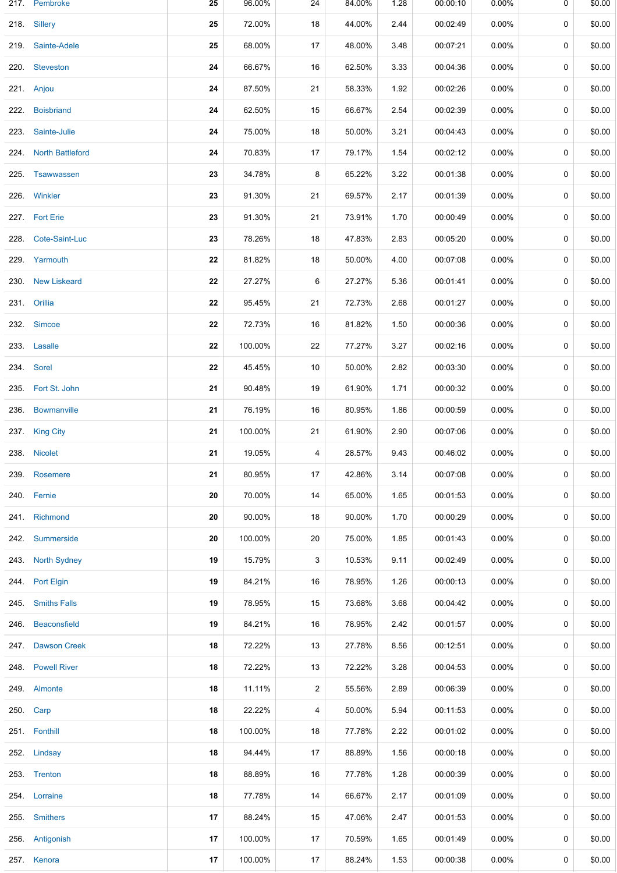|      | 217. Pembroke         | 25 | 96.00%  | 24                      | 84.00% | 1.28 | 00:00:10 | $0.00\%$ | 0 | \$0.00 |
|------|-----------------------|----|---------|-------------------------|--------|------|----------|----------|---|--------|
|      | 218. Sillery          | 25 | 72.00%  | 18                      | 44.00% | 2.44 | 00:02:49 | $0.00\%$ | 0 | \$0.00 |
|      | 219. Sainte-Adele     | 25 | 68.00%  | 17                      | 48.00% | 3.48 | 00:07:21 | $0.00\%$ | 0 | \$0.00 |
|      | 220. Steveston        | 24 | 66.67%  | 16                      | 62.50% | 3.33 | 00:04:36 | $0.00\%$ | 0 | \$0.00 |
|      | 221. Anjou            | 24 | 87.50%  | 21                      | 58.33% | 1.92 | 00:02:26 | $0.00\%$ | 0 | \$0.00 |
| 222. | <b>Boisbriand</b>     | 24 | 62.50%  | 15                      | 66.67% | 2.54 | 00:02:39 | 0.00%    | 0 | \$0.00 |
|      | 223. Sainte-Julie     | 24 | 75.00%  | 18                      | 50.00% | 3.21 | 00:04:43 | $0.00\%$ | 0 | \$0.00 |
|      | 224. North Battleford | 24 | 70.83%  | 17                      | 79.17% | 1.54 | 00:02:12 | 0.00%    | 0 | \$0.00 |
|      | 225. Tsawwassen       | 23 | 34.78%  | 8                       | 65.22% | 3.22 | 00:01:38 | $0.00\%$ | 0 | \$0.00 |
|      | 226. Winkler          | 23 | 91.30%  | 21                      | 69.57% | 2.17 | 00:01:39 | $0.00\%$ | 0 | \$0.00 |
|      | 227. Fort Erie        | 23 | 91.30%  | 21                      | 73.91% | 1.70 | 00:00:49 | $0.00\%$ | 0 | \$0.00 |
|      | 228. Cote-Saint-Luc   | 23 | 78.26%  | 18                      | 47.83% | 2.83 | 00:05:20 | $0.00\%$ | 0 | \$0.00 |
|      | 229 Yarmouth          | 22 | 81.82%  | 18                      | 50.00% | 4.00 | 00:07:08 | $0.00\%$ | 0 | \$0.00 |
|      | 230. New Liskeard     | 22 | 27.27%  | 6                       | 27.27% | 5.36 | 00:01:41 | $0.00\%$ | 0 | \$0.00 |
|      | 231. Orillia          | 22 | 95.45%  | 21                      | 72.73% | 2.68 | 00:01:27 | $0.00\%$ | 0 | \$0.00 |
|      | 232. Simcoe           | 22 | 72.73%  | 16                      | 81.82% | 1.50 | 00:00:36 | $0.00\%$ | 0 | \$0.00 |
|      | 233. Lasalle          | 22 | 100.00% | 22                      | 77.27% | 3.27 | 00:02:16 | $0.00\%$ | 0 | \$0.00 |
|      | 234. Sorel            | 22 | 45.45%  | 10                      | 50.00% | 2.82 | 00:03:30 | $0.00\%$ | 0 | \$0.00 |
|      | 235. Fort St. John    | 21 | 90.48%  | 19                      | 61.90% | 1.71 | 00:00:32 | $0.00\%$ | 0 | \$0.00 |
|      | 236. Bowmanville      | 21 | 76.19%  | 16                      | 80.95% | 1.86 | 00:00:59 | $0.00\%$ | 0 | \$0.00 |
|      | 237. King City        | 21 | 100.00% | 21                      | 61.90% | 2.90 | 00:07:06 | $0.00\%$ | 0 | \$0.00 |
|      | 238. Nicolet          | 21 | 19.05%  | 4                       | 28.57% | 9.43 | 00:46:02 | $0.00\%$ | 0 | \$0.00 |
|      | 239. Rosemere         | 21 | 80.95%  | 17                      | 42.86% | 3.14 | 00:07:08 | 0.00%    | 0 | \$0.00 |
| 240. | Fernie                | 20 | 70.00%  | 14                      | 65.00% | 1.65 | 00:01:53 | $0.00\%$ | 0 | \$0.00 |
|      | 241. Richmond         | 20 | 90.00%  | 18                      | 90.00% | 1.70 | 00:00:29 | $0.00\%$ | 0 | \$0.00 |
|      | 242. Summerside       | 20 | 100.00% | 20                      | 75.00% | 1.85 | 00:01:43 | 0.00%    | 0 | \$0.00 |
|      | 243. North Sydney     | 19 | 15.79%  | 3                       | 10.53% | 9.11 | 00:02:49 | $0.00\%$ | 0 | \$0.00 |
|      | 244. Port Elgin       | 19 | 84.21%  | 16                      | 78.95% | 1.26 | 00:00:13 | 0.00%    | 0 | \$0.00 |
|      | 245 Smiths Falls      | 19 | 78.95%  | 15                      | 73.68% | 3.68 | 00:04:42 | $0.00\%$ | 0 | \$0.00 |
|      | 246. Beaconsfield     | 19 | 84.21%  | 16                      | 78.95% | 2.42 | 00:01:57 | $0.00\%$ | 0 | \$0.00 |
| 247. | <b>Dawson Creek</b>   | 18 | 72.22%  | 13                      | 27.78% | 8.56 | 00:12:51 | $0.00\%$ | 0 | \$0.00 |
|      | 248. Powell River     | 18 | 72.22%  | 13                      | 72.22% | 3.28 | 00:04:53 | $0.00\%$ | 0 | \$0.00 |
|      | 249. Almonte          | 18 | 11.11%  | $\overline{\mathbf{c}}$ | 55.56% | 2.89 | 00:06:39 | $0.00\%$ | 0 | \$0.00 |
|      | 250. Carp             | 18 | 22.22%  | 4                       | 50.00% | 5.94 | 00:11:53 | $0.00\%$ | 0 | \$0.00 |
|      | 251. Fonthill         | 18 | 100.00% | 18                      | 77.78% | 2.22 | 00:01:02 | $0.00\%$ | 0 | \$0.00 |
|      | 252. Lindsay          | 18 | 94.44%  | 17                      | 88.89% | 1.56 | 00:00:18 | $0.00\%$ | 0 | \$0.00 |
|      | 253. Trenton          | 18 | 88.89%  | 16                      | 77.78% | 1.28 | 00:00:39 | $0.00\%$ | 0 | \$0.00 |
|      | 254. Lorraine         | 18 | 77.78%  | 14                      | 66.67% | 2.17 | 00:01:09 | $0.00\%$ | 0 | \$0.00 |
|      | 255. Smithers         | 17 | 88.24%  | 15                      | 47.06% | 2.47 | 00:01:53 | $0.00\%$ | 0 | \$0.00 |
| 256. | Antigonish            | 17 | 100.00% | 17                      | 70.59% | 1.65 | 00:01:49 | $0.00\%$ | 0 | \$0.00 |
|      | 257. Kenora           | 17 | 100.00% | 17                      | 88.24% | 1.53 | 00:00:38 | 0.00%    | 0 | \$0.00 |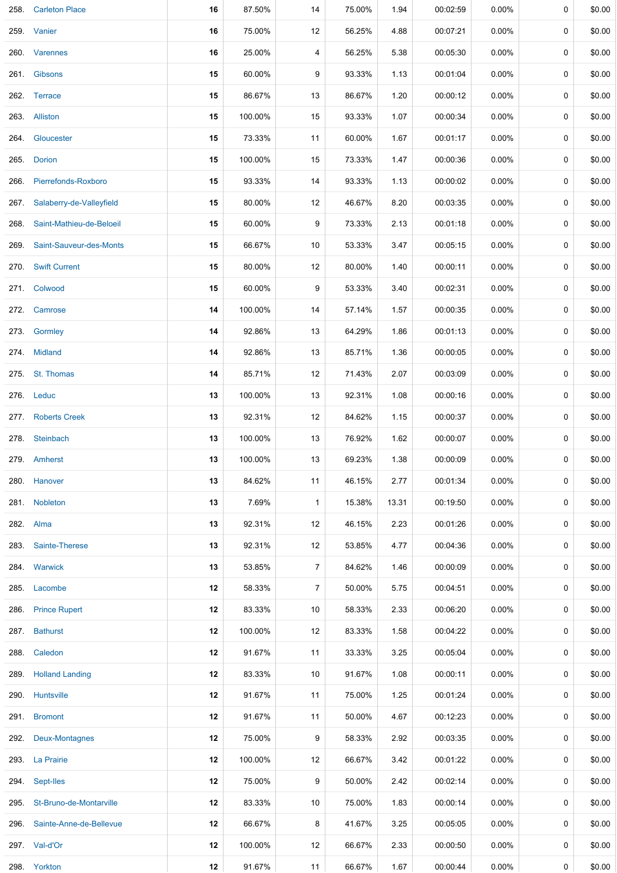| 258. | <b>Carleton Place</b>    | 16 | 87.50%  | 14             | 75.00% | 1.94  | 00:02:59 | 0.00%    | 0           | \$0.00 |
|------|--------------------------|----|---------|----------------|--------|-------|----------|----------|-------------|--------|
|      | 259. Vanier              | 16 | 75.00%  | 12             | 56.25% | 4.88  | 00:07:21 | $0.00\%$ | $\mathbf 0$ | \$0.00 |
|      | 260. Varennes            | 16 | 25.00%  | 4              | 56.25% | 5.38  | 00:05:30 | $0.00\%$ | 0           | \$0.00 |
|      | 261. Gibsons             | 15 | 60.00%  | 9              | 93.33% | 1.13  | 00:01:04 | $0.00\%$ | 0           | \$0.00 |
|      | 262. Terrace             | 15 | 86.67%  | 13             | 86.67% | 1.20  | 00:00:12 | $0.00\%$ | 0           | \$0.00 |
|      | 263. Alliston            | 15 | 100.00% | 15             | 93.33% | 1.07  | 00:00:34 | $0.00\%$ | 0           | \$0.00 |
|      | 264. Gloucester          | 15 | 73.33%  | 11             | 60.00% | 1.67  | 00:01:17 | $0.00\%$ | 0           | \$0.00 |
| 265. | <b>Dorion</b>            | 15 | 100.00% | 15             | 73.33% | 1.47  | 00:00:36 | 0.00%    | $\mathbf 0$ | \$0.00 |
| 266. | Pierrefonds-Roxboro      | 15 | 93.33%  | 14             | 93.33% | 1.13  | 00:00:02 | $0.00\%$ | 0           | \$0.00 |
| 267. | Salaberry-de-Valleyfield | 15 | 80.00%  | 12             | 46.67% | 8.20  | 00:03:35 | $0.00\%$ | 0           | \$0.00 |
| 268. | Saint-Mathieu-de-Beloeil | 15 | 60.00%  | 9              | 73.33% | 2.13  | 00:01:18 | $0.00\%$ | 0           | \$0.00 |
| 269. | Saint-Sauveur-des-Monts  | 15 | 66.67%  | 10             | 53.33% | 3.47  | 00:05:15 | $0.00\%$ | 0           | \$0.00 |
| 270. | <b>Swift Current</b>     | 15 | 80.00%  | 12             | 80.00% | 1.40  | 00:00:11 | $0.00\%$ | 0           | \$0.00 |
|      | 271. Colwood             | 15 | 60.00%  | 9              | 53.33% | 3.40  | 00:02:31 | $0.00\%$ | 0           | \$0.00 |
| 272. | Camrose                  | 14 | 100.00% | 14             | 57.14% | 1.57  | 00:00:35 | $0.00\%$ | $\mathbf 0$ | \$0.00 |
| 273. | Gormley                  | 14 | 92.86%  | 13             | 64.29% | 1.86  | 00:01:13 | $0.00\%$ | 0           | \$0.00 |
|      | 274. Midland             | 14 | 92.86%  | 13             | 85.71% | 1.36  | 00:00:05 | 0.00%    | 0           | \$0.00 |
|      | 275. St. Thomas          | 14 | 85.71%  | 12             | 71.43% | 2.07  | 00:03:09 | $0.00\%$ | 0           | \$0.00 |
|      | 276. Leduc               | 13 | 100.00% | 13             | 92.31% | 1.08  | 00:00:16 | $0.00\%$ | $\mathbf 0$ | \$0.00 |
| 277. | <b>Roberts Creek</b>     | 13 | 92.31%  | 12             | 84.62% | 1.15  | 00:00:37 | $0.00\%$ | 0           | \$0.00 |
| 278. | Steinbach                | 13 | 100.00% | 13             | 76.92% | 1.62  | 00:00:07 | $0.00\%$ | 0           | \$0.00 |
|      | 279. Amherst             | 13 | 100.00% | 13             | 69.23% | 1.38  | 00:00:09 | $0.00\%$ | 0           | \$0.00 |
|      | 280. Hanover             | 13 | 84.62%  | 11             | 46.15% | 2.77  | 00:01:34 | $0.00\%$ | 0           | \$0.00 |
|      | 281. Nobleton            | 13 | 7.69%   | $\mathbf{1}$   | 15.38% | 13.31 | 00:19:50 | $0.00\%$ | 0           | \$0.00 |
|      | 282. Alma                | 13 | 92.31%  | 12             | 46.15% | 2.23  | 00:01:26 | $0.00\%$ | 0           | \$0.00 |
| 283. | Sainte-Therese           | 13 | 92.31%  | 12             | 53.85% | 4.77  | 00:04:36 | 0.00%    | 0           | \$0.00 |
|      | 284. Warwick             | 13 | 53.85%  | $\overline{7}$ | 84.62% | 1.46  | 00:00:09 | $0.00\%$ | 0           | \$0.00 |
| 285. | Lacombe                  | 12 | 58.33%  | $\overline{7}$ | 50.00% | 5.75  | 00:04:51 | $0.00\%$ | 0           | \$0.00 |
| 286. | <b>Prince Rupert</b>     | 12 | 83.33%  | 10             | 58.33% | 2.33  | 00:06:20 | $0.00\%$ | 0           | \$0.00 |
|      | 287. Bathurst            | 12 | 100.00% | 12             | 83.33% | 1.58  | 00:04:22 | $0.00\%$ | 0           | \$0.00 |
| 288. | Caledon                  | 12 | 91.67%  | 11             | 33.33% | 3.25  | 00:05:04 | $0.00\%$ | 0           | \$0.00 |
|      | 289. Holland Landing     | 12 | 83.33%  | 10             | 91.67% | 1.08  | 00:00:11 | $0.00\%$ | 0           | \$0.00 |
|      | 290. Huntsville          | 12 | 91.67%  | 11             | 75.00% | 1.25  | 00:01:24 | $0.00\%$ | 0           | \$0.00 |
|      | 291. Bromont             | 12 | 91.67%  | 11             | 50.00% | 4.67  | 00:12:23 | $0.00\%$ | 0           | \$0.00 |
| 292. | <b>Deux-Montagnes</b>    | 12 | 75.00%  | 9              | 58.33% | 2.92  | 00:03:35 | $0.00\%$ | 0           | \$0.00 |
|      | 293. La Prairie          | 12 | 100.00% | 12             | 66.67% | 3.42  | 00:01:22 | $0.00\%$ | 0           | \$0.00 |
| 294. | Sept-Iles                | 12 | 75.00%  | 9              | 50.00% | 2.42  | 00:02:14 | $0.00\%$ | 0           | \$0.00 |
| 295. | St-Bruno-de-Montarville  | 12 | 83.33%  | 10             | 75.00% | 1.83  | 00:00:14 | $0.00\%$ | 0           | \$0.00 |
| 296. | Sainte-Anne-de-Bellevue  | 12 | 66.67%  | 8              | 41.67% | 3.25  | 00:05:05 | $0.00\%$ | 0           | \$0.00 |
|      | 297. Val-d'Or            | 12 | 100.00% | 12             | 66.67% | 2.33  | 00:00:50 | $0.00\%$ | 0           | \$0.00 |
|      | 298. Yorkton             | 12 | 91.67%  | 11             | 66.67% | 1.67  | 00:00:44 | $0.00\%$ | 0           | \$0.00 |

-1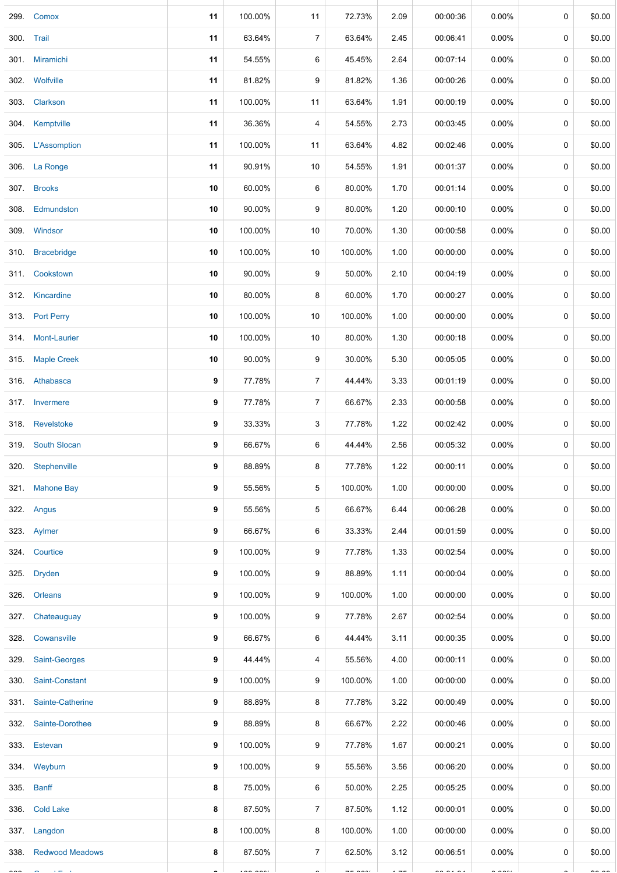| 299.       | Comox                 | 11 | 100.00%                  | 11               | 72.73%        | 2.09           | 00:00:36                 | $0.00\%$             | 0           | \$0.00        |
|------------|-----------------------|----|--------------------------|------------------|---------------|----------------|--------------------------|----------------------|-------------|---------------|
| 300. Trail |                       | 11 | 63.64%                   | $\boldsymbol{7}$ | 63.64%        | 2.45           | 00:06:41                 | 0.00%                | 0           | \$0.00        |
|            | 301. Miramichi        | 11 | 54.55%                   | 6                | 45.45%        | 2.64           | 00:07:14                 | $0.00\%$             | 0           | \$0.00        |
|            | 302. Wolfville        | 11 | 81.82%                   | 9                | 81.82%        | 1.36           | 00:00:26                 | $0.00\%$             | 0           | \$0.00        |
|            | 303. Clarkson         | 11 | 100.00%                  | 11               | 63.64%        | 1.91           | 00:00:19                 | $0.00\%$             | 0           | \$0.00        |
|            | 304. Kemptville       | 11 | 36.36%                   | 4                | 54.55%        | 2.73           | 00:03:45                 | 0.00%                | $\pmb{0}$   | \$0.00        |
|            | 305. L'Assomption     | 11 | 100.00%                  | 11               | 63.64%        | 4.82           | 00:02:46                 | $0.00\%$             | 0           | \$0.00        |
|            | 306. La Ronge         | 11 | 90.91%                   | 10               | 54.55%        | 1.91           | 00:01:37                 | $0.00\%$             | $\mathbf 0$ | \$0.00        |
|            | 307. Brooks           | 10 | 60.00%                   | 6                | 80.00%        | 1.70           | 00:01:14                 | $0.00\%$             | 0           | \$0.00        |
|            | 308. Edmundston       | 10 | 90.00%                   | 9                | 80.00%        | 1.20           | 00:00:10                 | $0.00\%$             | 0           | \$0.00        |
|            | 309. Windsor          | 10 | 100.00%                  | 10               | 70.00%        | 1.30           | 00:00:58                 | 0.00%                | 0           | \$0.00        |
|            | 310. Bracebridge      | 10 | 100.00%                  | 10               | 100.00%       | 1.00           | 00:00:00                 | 0.00%                | 0           | \$0.00        |
|            | 311. Cookstown        | 10 | 90.00%                   | 9                | 50.00%        | 2.10           | 00:04:19                 | $0.00\%$             | $\pmb{0}$   | \$0.00        |
|            | 312. Kincardine       | 10 | 80.00%                   | 8                | 60.00%        | 1.70           | 00:00:27                 | $0.00\%$             | 0           | \$0.00        |
|            | 313. Port Perry       | 10 | 100.00%                  | 10               | 100.00%       | 1.00           | 00:00:00                 | 0.00%                | $\mathbf 0$ | \$0.00        |
|            | 314 Mont-Laurier      | 10 | 100.00%                  | 10               | 80.00%        | 1.30           | 00:00:18                 | $0.00\%$             | 0           | \$0.00        |
|            | 315. Maple Creek      | 10 | 90.00%                   | 9                | 30.00%        | 5.30           | 00:05:05                 | $0.00\%$             | 0           | \$0.00        |
|            | 316. Athabasca        | 9  | 77.78%                   | $\overline{7}$   | 44.44%        | 3.33           | 00:01:19                 | $0.00\%$             | 0           | \$0.00        |
|            | 317. Invermere        | 9  | 77.78%                   | $\overline{7}$   | 66.67%        | 2.33           | 00:00:58                 | 0.00%                | 0           | \$0.00        |
|            | 318. Revelstoke       | 9  | 33.33%                   | 3                | 77.78%        | 1.22           | 00:02:42                 | 0.00%                | $\pmb{0}$   | \$0.00        |
|            | 319. South Slocan     | 9  | 66.67%                   | 6                | 44.44%        | 2.56           | 00:05:32                 | $0.00\%$             | 0           | \$0.00        |
|            | 320 Stephenville      | 9  | 88.89%                   | 8                | 77.78%        | 1.22           | 00:00:11                 | 0.00%                | 0           | \$0.00        |
|            | 321. Mahone Bay       | 9  | 55.56%                   | 5                | 100.00%       | 1.00           | 00:00:00                 | $0.00\%$             | 0           | \$0.00        |
|            | 322. Angus            | 9  | 55.56%                   | 5                | 66.67%        | 6.44           | 00:06:28                 | $0.00\%$             | $\mathbf 0$ | \$0.00        |
|            | 323. Aylmer           | 9  | 66.67%                   | 6                | 33.33%        | 2.44           | 00:01:59                 | $0.00\%$             | 0           | \$0.00        |
|            | 324. Courtice         | 9  | 100.00%                  | 9                | 77.78%        | 1.33           | 00:02:54                 | $0.00\%$             | 0           | \$0.00        |
|            | 325. Dryden           | 9  | 100.00%                  | 9                | 88.89%        | 1.11           | 00:00:04                 | $0.00\%$             | 0           | \$0.00        |
|            | 326. Orleans          | 9  | 100.00%                  | 9                | 100.00%       | 1.00           | 00:00:00                 | $0.00\%$             | 0           | \$0.00        |
| 327.       | Chateauguay           | 9  | 100.00%                  | 9                | 77.78%        | 2.67           | 00:02:54                 | $0.00\%$             | $\pmb{0}$   | \$0.00        |
|            | 328. Cowansville      | 9  | 66.67%                   | 6                | 44.44%        | 3.11           | 00:00:35                 | $0.00\%$             | 0           | \$0.00        |
|            | 329. Saint-Georges    | 9  | 44.44%                   | 4                | 55.56%        | 4.00           | 00:00:11                 | $0.00\%$             | 0           | \$0.00        |
|            | 330. Saint-Constant   | 9  | 100.00%                  | 9                | 100.00%       | 1.00           | 00:00:00                 | $0.00\%$             | 0           | \$0.00        |
|            | 331. Sainte-Catherine | 9  | 88.89%                   | 8                | 77.78%        | 3.22           | 00:00:49                 | 0.00%                | 0           | \$0.00        |
|            | 332. Sainte-Dorothee  | 9  | 88.89%                   | 8                | 66.67%        | 2.22           | 00:00:46                 | $0.00\%$             | 0           | \$0.00        |
|            | 333. Estevan          | 9  | 100.00%                  | 9                | 77.78%        | 1.67           | 00:00:21                 | $0.00\%$             | 0           | \$0.00        |
|            | 334. Weyburn          | 9  | 100.00%                  | 9                | 55.56%        | 3.56           | 00:06:20                 | $0.00\%$             | 0           | \$0.00        |
|            | 335. Banff            | 8  | 75.00%                   | 6                | 50.00%        | 2.25           | 00:05:25                 | $0.00\%$             | 0           | \$0.00        |
|            | 336. Cold Lake        | 8  | 87.50%                   | $\overline{7}$   | 87.50%        | 1.12           | 00:00:01                 | 0.00%                | 0           | \$0.00        |
|            | 337. Langdon          | 8  | 100.00%                  | 8                | 100.00%       | 1.00           | 00:00:00                 | $0.00\%$             | 0           | \$0.00        |
|            | 338. Redwood Meadows  | 8  | 87.50%                   | $\overline{7}$   | 62.50%        | 3.12           | 00:06:51                 | $0.00\%$             | 0           | \$0.00        |
|            |                       |    | $\overline{\phantom{a}}$ |                  | $--- - - - -$ | $\overline{a}$ | $\overline{\phantom{a}}$ | $\sim$ $\sim$ $\sim$ |             | $\sim$ $\sim$ |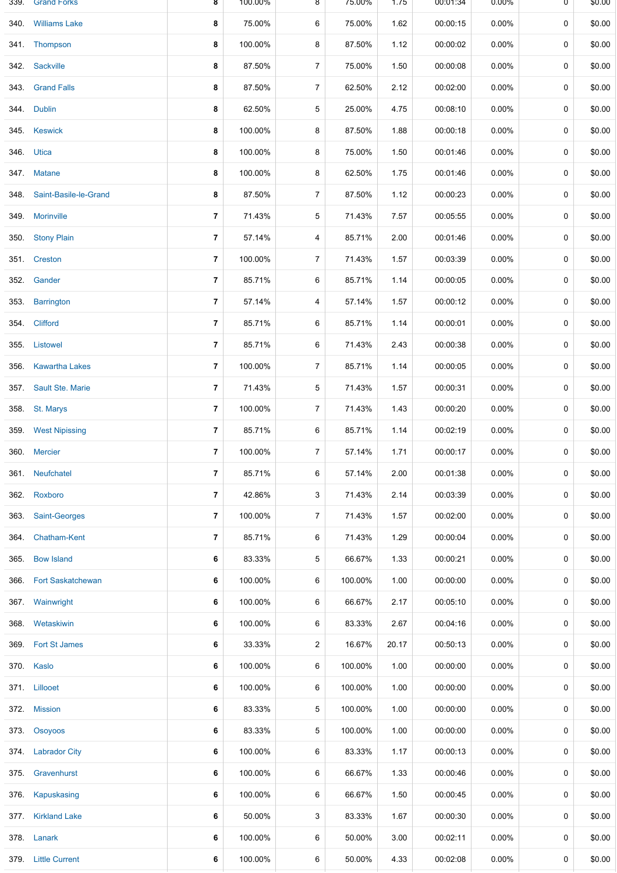| 339. | Grand Forks                | ୪              | 100.00% | ୪                | $15.00\%$ | 1.75  | 00:01:34 | 0.00%    | U         | \$0.00 |
|------|----------------------------|----------------|---------|------------------|-----------|-------|----------|----------|-----------|--------|
| 340. | <b>Williams Lake</b>       | 8              | 75.00%  | 6                | 75.00%    | 1.62  | 00:00:15 | 0.00%    | 0         | \$0.00 |
|      | 341. Thompson              | 8              | 100.00% | 8                | 87.50%    | 1.12  | 00:00:02 | $0.00\%$ | 0         | \$0.00 |
|      | 342. Sackville             | 8              | 87.50%  | $\boldsymbol{7}$ | 75.00%    | 1.50  | 00:00:08 | $0.00\%$ | $\pmb{0}$ | \$0.00 |
|      | 343. Grand Falls           | 8              | 87.50%  | $\overline{7}$   | 62.50%    | 2.12  | 00:02:00 | 0.00%    | 0         | \$0.00 |
|      | 344. Dublin                | 8              | 62.50%  | 5                | 25.00%    | 4.75  | 00:08:10 | 0.00%    | $\pmb{0}$ | \$0.00 |
|      | 345. Keswick               | 8              | 100.00% | 8                | 87.50%    | 1.88  | 00:00:18 | $0.00\%$ | 0         | \$0.00 |
|      | 346. Utica                 | 8              | 100.00% | 8                | 75.00%    | 1.50  | 00:01:46 | 0.00%    | 0         | \$0.00 |
|      | 347. Matane                | 8              | 100.00% | 8                | 62.50%    | 1.75  | 00:01:46 | $0.00\%$ | 0         | \$0.00 |
|      | 348. Saint-Basile-le-Grand | 8              | 87.50%  | $\overline{7}$   | 87.50%    | 1.12  | 00:00:23 | $0.00\%$ | 0         | \$0.00 |
| 349. | <b>Morinville</b>          | $\overline{7}$ | 71.43%  | 5                | 71.43%    | 7.57  | 00:05:55 | 0.00%    | 0         | \$0.00 |
| 350. | <b>Stony Plain</b>         | 7              | 57.14%  | 4                | 85.71%    | 2.00  | 00:01:46 | $0.00\%$ | 0         | \$0.00 |
|      | 351 Creston                | $\overline{7}$ | 100.00% | $\overline{7}$   | 71.43%    | 1.57  | 00:03:39 | 0.00%    | $\pmb{0}$ | \$0.00 |
|      | 352. Gander                | $\overline{7}$ | 85.71%  | 6                | 85.71%    | 1.14  | 00:00:05 | 0.00%    | 0         | \$0.00 |
| 353. | <b>Barrington</b>          | $\overline{7}$ | 57.14%  | 4                | 57.14%    | 1.57  | 00:00:12 | 0.00%    | $\pmb{0}$ | \$0.00 |
|      | 354 Clifford               | $\overline{7}$ | 85.71%  | 6                | 85.71%    | 1.14  | 00:00:01 | $0.00\%$ | 0         | \$0.00 |
|      | 355. Listowel              | 7              | 85.71%  | 6                | 71.43%    | 2.43  | 00:00:38 | $0.00\%$ | 0         | \$0.00 |
| 356. | <b>Kawartha Lakes</b>      | $\overline{7}$ | 100.00% | $\overline{7}$   | 85.71%    | 1.14  | 00:00:05 | $0.00\%$ | 0         | \$0.00 |
|      | 357. Sault Ste. Marie      | 7              | 71.43%  | 5                | 71.43%    | 1.57  | 00:00:31 | $0.00\%$ | 0         | \$0.00 |
| 358. | St. Marys                  | $\overline{7}$ | 100.00% | $\overline{7}$   | 71.43%    | 1.43  | 00:00:20 | 0.00%    | 0         | \$0.00 |
|      | 359. West Nipissing        | 7              | 85.71%  | 6                | 85.71%    | 1.14  | 00:02:19 | $0.00\%$ | 0         | \$0.00 |
|      | 360. Mercier               | $\overline{7}$ | 100.00% | $\boldsymbol{7}$ | 57.14%    | 1.71  | 00:00:17 | 0.00%    | 0         | \$0.00 |
|      | 361. Neufchatel            | $\overline{7}$ | 85.71%  | 6                | 57.14%    | 2.00  | 00:01:38 | 0.00%    | 0         | \$0.00 |
| 362. | Roxboro                    | $\overline{7}$ | 42.86%  | 3                | 71.43%    | 2.14  | 00:03:39 | 0.00%    | 0         | \$0.00 |
| 363. | Saint-Georges              | $\overline{7}$ | 100.00% | 7                | 71.43%    | 1.57  | 00:02:00 | $0.00\%$ | 0         | \$0.00 |
| 364. | Chatham-Kent               | 7              | 85.71%  | 6                | 71.43%    | 1.29  | 00:00:04 | 0.00%    | 0         | \$0.00 |
| 365. | <b>Bow Island</b>          | 6              | 83.33%  | 5                | 66.67%    | 1.33  | 00:00:21 | $0.00\%$ | 0         | \$0.00 |
| 366. | <b>Fort Saskatchewan</b>   | 6              | 100.00% | 6                | 100.00%   | 1.00  | 00:00:00 | $0.00\%$ | 0         | \$0.00 |
| 367. | Wainwright                 | 6              | 100.00% | 6                | 66.67%    | 2.17  | 00:05:10 | $0.00\%$ | 0         | \$0.00 |
| 368. | Wetaskiwin                 | 6              | 100.00% | 6                | 83.33%    | 2.67  | 00:04:16 | $0.00\%$ | 0         | \$0.00 |
| 369. | <b>Fort St James</b>       | 6              | 33.33%  | 2                | 16.67%    | 20.17 | 00:50:13 | $0.00\%$ | 0         | \$0.00 |
|      | 370. Kaslo                 | 6              | 100.00% | 6                | 100.00%   | 1.00  | 00:00:00 | 0.00%    | 0         | \$0.00 |
|      | 371. Lillooet              | 6              | 100.00% | 6                | 100.00%   | 1.00  | 00:00:00 | 0.00%    | 0         | \$0.00 |
|      | 372. Mission               | 6              | 83.33%  | 5                | 100.00%   | 1.00  | 00:00:00 | $0.00\%$ | 0         | \$0.00 |
|      | 373. Osoyoos               | 6              | 83.33%  | 5                | 100.00%   | 1.00  | 00:00:00 | 0.00%    | 0         | \$0.00 |
|      | 374. Labrador City         | 6              | 100.00% | 6                | 83.33%    | 1.17  | 00:00:13 | $0.00\%$ | 0         | \$0.00 |
|      | 375. Gravenhurst           | 6              | 100.00% | 6                | 66.67%    | 1.33  | 00:00:46 | $0.00\%$ | 0         | \$0.00 |
| 376. | Kapuskasing                | 6              | 100.00% | 6                | 66.67%    | 1.50  | 00:00:45 | $0.00\%$ | 0         | \$0.00 |
|      | 377. Kirkland Lake         | 6              | 50.00%  | 3                | 83.33%    | 1.67  | 00:00:30 | $0.00\%$ | 0         | \$0.00 |
|      | 378. Lanark                | 6              | 100.00% | 6                | 50.00%    | 3.00  | 00:02:11 | $0.00\%$ | 0         | \$0.00 |
|      | 379. Little Current        | 6              | 100.00% | 6                | 50.00%    | 4.33  | 00:02:08 | 0.00%    | 0         | \$0.00 |
|      |                            |                |         |                  |           |       |          |          |           |        |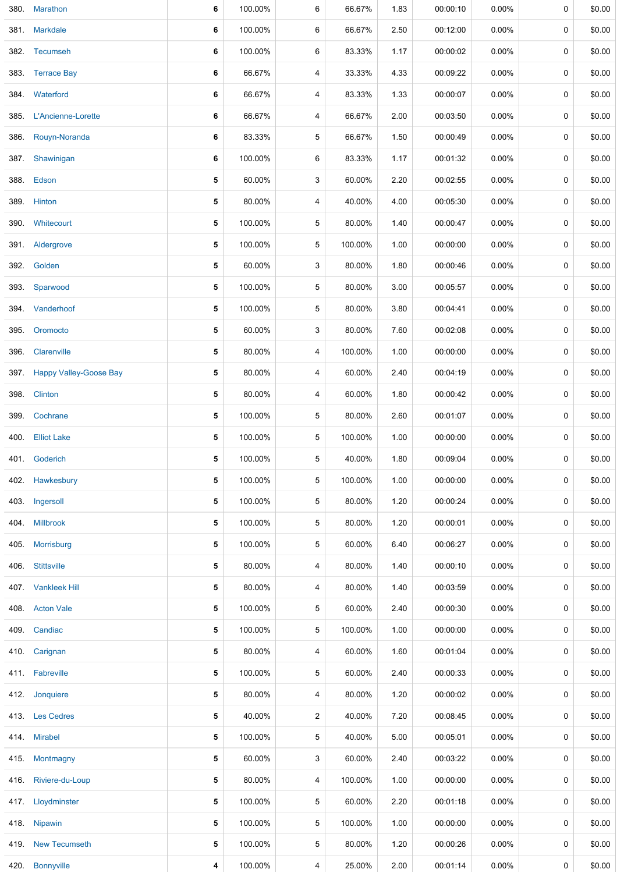| 380. | Marathon                    | 6 | 100.00% | 6              | 66.67%  | 1.83 | 00:00:10 | 0.00%    | 0           | \$0.00 |
|------|-----------------------------|---|---------|----------------|---------|------|----------|----------|-------------|--------|
|      | 381. Markdale               | 6 | 100.00% | 6              | 66.67%  | 2.50 | 00:12:00 | $0.00\%$ | 0           | \$0.00 |
|      | 382. Tecumseh               | 6 | 100.00% | 6              | 83.33%  | 1.17 | 00:00:02 | $0.00\%$ | 0           | \$0.00 |
|      | 383. Terrace Bay            | 6 | 66.67%  | 4              | 33.33%  | 4.33 | 00:09:22 | $0.00\%$ | 0           | \$0.00 |
|      | 384. Waterford              | 6 | 66.67%  | 4              | 83.33%  | 1.33 | 00:00:07 | $0.00\%$ | 0           | \$0.00 |
|      | 385. L'Ancienne-Lorette     | 6 | 66.67%  | 4              | 66.67%  | 2.00 | 00:03:50 | $0.00\%$ | 0           | \$0.00 |
| 386. | Rouyn-Noranda               | 6 | 83.33%  | 5              | 66.67%  | 1.50 | 00:00:49 | 0.00%    | $\mathbf 0$ | \$0.00 |
| 387. | Shawinigan                  | 6 | 100.00% | 6              | 83.33%  | 1.17 | 00:01:32 | $0.00\%$ | 0           | \$0.00 |
|      | 388. Edson                  | 5 | 60.00%  | 3              | 60.00%  | 2.20 | 00:02:55 | $0.00\%$ | 0           | \$0.00 |
|      | 389. Hinton                 | 5 | 80.00%  | 4              | 40.00%  | 4.00 | 00:05:30 | $0.00\%$ | 0           | \$0.00 |
|      | 390. Whitecourt             | 5 | 100.00% | 5              | 80.00%  | 1.40 | 00:00:47 | $0.00\%$ | 0           | \$0.00 |
|      | 391. Aldergrove             | 5 | 100.00% | 5              | 100.00% | 1.00 | 00:00:00 | $0.00\%$ | $\mathbf 0$ | \$0.00 |
|      | 392. Golden                 | 5 | 60.00%  | 3              | 80.00%  | 1.80 | 00:00:46 | $0.00\%$ | 0           | \$0.00 |
|      | 393. Sparwood               | 5 | 100.00% | 5              | 80.00%  | 3.00 | 00:05:57 | $0.00\%$ | 0           | \$0.00 |
|      | 394. Vanderhoof             | 5 | 100.00% | 5              | 80.00%  | 3.80 | 00:04:41 | $0.00\%$ | 0           | \$0.00 |
| 395. | Oromocto                    | 5 | 60.00%  | 3              | 80.00%  | 7.60 | 00:02:08 | 0.00%    | 0           | \$0.00 |
| 396. | Clarenville                 | 5 | 80.00%  | 4              | 100.00% | 1.00 | 00:00:00 | $0.00\%$ | 0           | \$0.00 |
|      | 397. Happy Valley-Goose Bay | 5 | 80.00%  | 4              | 60.00%  | 2.40 | 00:04:19 | $0.00\%$ | 0           | \$0.00 |
| 398. | Clinton                     | 5 | 80.00%  | 4              | 60.00%  | 1.80 | 00:00:42 | $0.00\%$ | 0           | \$0.00 |
| 399. | Cochrane                    | 5 | 100.00% | 5              | 80.00%  | 2.60 | 00:01:07 | $0.00\%$ | 0           | \$0.00 |
|      | 400. Elliot Lake            | 5 | 100.00% | 5              | 100.00% | 1.00 | 00:00:00 | 0.00%    | $\mathbf 0$ | \$0.00 |
|      | 401. Goderich               | 5 | 100.00% | 5              | 40.00%  | 1.80 | 00:09:04 | 0.00%    | 0           | \$0.00 |
| 402. | Hawkesbury                  | 5 | 100.00% | 5              | 100.00% | 1.00 | 00:00:00 | $0.00\%$ | 0           | \$0.00 |
| 403. | Ingersoll                   | 5 | 100.00% | 5              | 80.00%  | 1.20 | 00:00:24 | $0.00\%$ | 0           | \$0.00 |
|      | 404. Millbrook              | 5 | 100.00% | 5              | 80.00%  | 1.20 | 00:00:01 | $0.00\%$ | 0           | \$0.00 |
| 405. | Morrisburg                  | 5 | 100.00% | 5              | 60.00%  | 6.40 | 00:06:27 | $0.00\%$ | 0           | \$0.00 |
|      | 406 Stittsville             | 5 | 80.00%  | 4              | 80.00%  | 1.40 | 00:00:10 | $0.00\%$ | 0           | \$0.00 |
| 407. | <b>Vankleek Hill</b>        | 5 | 80.00%  | 4              | 80.00%  | 1.40 | 00:03:59 | $0.00\%$ | 0           | \$0.00 |
|      | 408. Acton Vale             | 5 | 100.00% | 5              | 60.00%  | 2.40 | 00:00:30 | $0.00\%$ | 0           | \$0.00 |
|      | 409. Candiac                | 5 | 100.00% | 5              | 100.00% | 1.00 | 00:00:00 | $0.00\%$ | 0           | \$0.00 |
|      | 410. Carignan               | 5 | 80.00%  | 4              | 60.00%  | 1.60 | 00:01:04 | $0.00\%$ | 0           | \$0.00 |
|      | 411. Fabreville             | 5 | 100.00% | 5              | 60.00%  | 2.40 | 00:00:33 | $0.00\%$ | 0           | \$0.00 |
| 412. | Jonquiere                   | 5 | 80.00%  | 4              | 80.00%  | 1.20 | 00:00:02 | $0.00\%$ | 0           | \$0.00 |
|      | 413. Les Cedres             | 5 | 40.00%  | $\overline{2}$ | 40.00%  | 7.20 | 00:08:45 | 0.00%    | 0           | \$0.00 |
|      | 414. Mirabel                | 5 | 100.00% | 5              | 40.00%  | 5.00 | 00:05:01 | $0.00\%$ | 0           | \$0.00 |
|      | 415 Montmagny               | 5 | 60.00%  | 3              | 60.00%  | 2.40 | 00:03:22 | $0.00\%$ | 0           | \$0.00 |
|      | 416. Riviere-du-Loup        | 5 | 80.00%  | 4              | 100.00% | 1.00 | 00:00:00 | $0.00\%$ | 0           | \$0.00 |
|      | 417. Lloydminster           | 5 | 100.00% | 5              | 60.00%  | 2.20 | 00:01:18 | $0.00\%$ | 0           | \$0.00 |
|      | 418. Nipawin                | 5 | 100.00% | 5              | 100.00% | 1.00 | 00:00:00 | $0.00\%$ | 0           | \$0.00 |
|      | 419. New Tecumseth          | 5 | 100.00% | 5              | 80.00%  | 1.20 | 00:00:26 | $0.00\%$ | 0           | \$0.00 |
|      | 420. Bonnyville             | 4 | 100.00% | 4              | 25.00%  | 2.00 | 00:01:14 | 0.00%    | 0           | \$0.00 |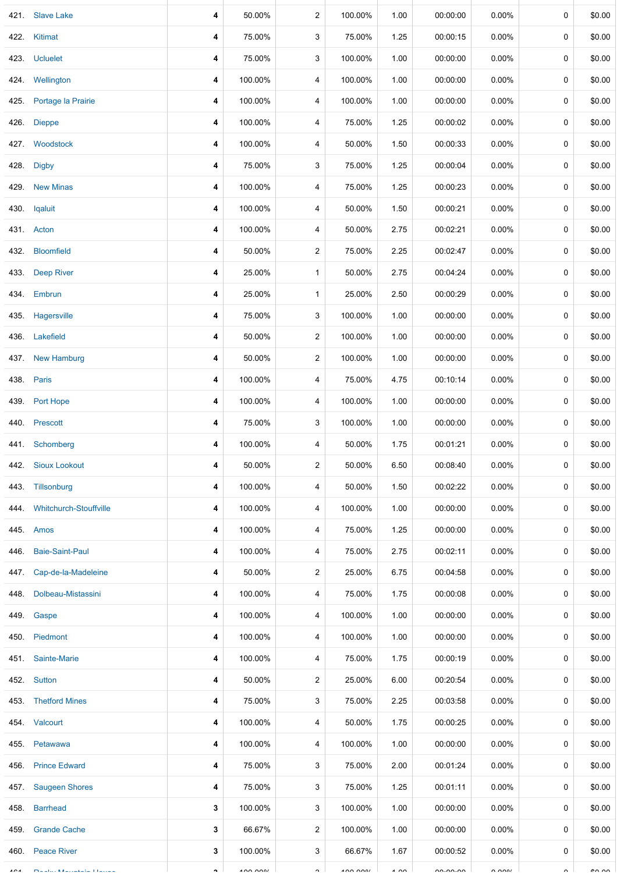| 421.      | <b>Slave Lake</b>             | 4                   | 50.00%  | $\overline{c}$          | 100.00%   | 1.00          | 00:00:00 | 0.00%    | 0           | \$0.00        |
|-----------|-------------------------------|---------------------|---------|-------------------------|-----------|---------------|----------|----------|-------------|---------------|
| 422.      | Kitimat                       | 4                   | 75.00%  | 3                       | 75.00%    | 1.25          | 00:00:15 | 0.00%    | 0           | \$0.00        |
|           | 423. Ucluelet                 | 4                   | 75.00%  | 3                       | 100.00%   | 1.00          | 00:00:00 | $0.00\%$ | 0           | \$0.00        |
|           | 424. Wellington               | 4                   | 100.00% | 4                       | 100.00%   | 1.00          | 00:00:00 | 0.00%    | 0           | \$0.00        |
| 425.      | Portage la Prairie            | 4                   | 100.00% | 4                       | 100.00%   | 1.00          | 00:00:00 | $0.00\%$ | 0           | \$0.00        |
| 426.      | <b>Dieppe</b>                 | 4                   | 100.00% | 4                       | 75.00%    | 1.25          | 00:00:02 | 0.00%    | $\mathbf 0$ | \$0.00        |
|           | 427. Woodstock                | 4                   | 100.00% | 4                       | 50.00%    | 1.50          | 00:00:33 | $0.00\%$ | 0           | \$0.00        |
| 428.      | <b>Digby</b>                  | 4                   | 75.00%  | 3                       | 75.00%    | 1.25          | 00:00:04 | 0.00%    | 0           | \$0.00        |
| 429.      | <b>New Minas</b>              | 4                   | 100.00% | 4                       | 75.00%    | 1.25          | 00:00:23 | $0.00\%$ | 0           | \$0.00        |
|           | 430. Iqaluit                  | 4                   | 100.00% | 4                       | 50.00%    | 1.50          | 00:00:21 | 0.00%    | 0           | \$0.00        |
|           | 431. Acton                    | 4                   | 100.00% | 4                       | 50.00%    | 2.75          | 00:02:21 | 0.00%    | 0           | \$0.00        |
| 432.      | <b>Bloomfield</b>             | 4                   | 50.00%  | $\overline{2}$          | 75.00%    | 2.25          | 00:02:47 | $0.00\%$ | 0           | \$0.00        |
| 433.      | <b>Deep River</b>             | 4                   | 25.00%  | $\mathbf{1}$            | 50.00%    | 2.75          | 00:04:24 | 0.00%    | 0           | \$0.00        |
|           | 434. Embrun                   | 4                   | 25.00%  | $\mathbf{1}$            | 25.00%    | 2.50          | 00:00:29 | $0.00\%$ | 0           | \$0.00        |
|           | 435. Hagersville              | 4                   | 75.00%  | 3                       | 100.00%   | 1.00          | 00:00:00 | $0.00\%$ | 0           | \$0.00        |
|           | 436. Lakefield                | 4                   | 50.00%  | $\overline{2}$          | 100.00%   | 1.00          | 00:00:00 | $0.00\%$ | 0           | \$0.00        |
| 437.      | <b>New Hamburg</b>            | 4                   | 50.00%  | $\overline{c}$          | 100.00%   | 1.00          | 00:00:00 | $0.00\%$ | 0           | \$0.00        |
| 438.      | Paris                         | 4                   | 100.00% | 4                       | 75.00%    | 4.75          | 00:10:14 | $0.00\%$ | 0           | \$0.00        |
| 439.      | Port Hope                     | 4                   | 100.00% | 4                       | 100.00%   | 1.00          | 00:00:00 | 0.00%    | 0           | \$0.00        |
| 440.      | Prescott                      | 4                   | 75.00%  | 3                       | 100.00%   | 1.00          | 00:00:00 | 0.00%    | 0           | \$0.00        |
| 441.      | Schomberg                     | 4                   | 100.00% | 4                       | 50.00%    | 1.75          | 00:01:21 | 0.00%    | 0           | \$0.00        |
|           | 442. Sioux Lookout            | 4                   | 50.00%  | $\overline{\mathbf{c}}$ | 50.00%    | 6.50          | 00:08:40 | 0.00%    | 0           | \$0.00        |
|           | 443. Tillsonburg              | 4                   | 100.00% | 4                       | 50.00%    | 1.50          | 00:02:22 | $0.00\%$ | 0           | \$0.00        |
| 444.      | <b>Whitchurch-Stouffville</b> | 4                   | 100.00% | 4                       | 100.00%   | 1.00          | 00:00:00 | 0.00%    | 0           | \$0.00        |
| 445.      | Amos                          | 4                   | 100.00% | 4                       | 75.00%    | 1.25          | 00:00:00 | 0.00%    | 0           | \$0.00        |
| 446.      | <b>Baie-Saint-Paul</b>        | 4                   | 100.00% | 4                       | 75.00%    | 2.75          | 00:02:11 | 0.00%    | 0           | \$0.00        |
| 447.      | Cap-de-la-Madeleine           | 4                   | 50.00%  | $\overline{c}$          | 25.00%    | 6.75          | 00:04:58 | 0.00%    | 0           | \$0.00        |
| 448.      | Dolbeau-Mistassini            | 4                   | 100.00% | 4                       | 75.00%    | 1.75          | 00:00:08 | 0.00%    | 0           | \$0.00        |
| 449.      | Gaspe                         | 4                   | 100.00% | 4                       | 100.00%   | 1.00          | 00:00:00 | 0.00%    | 0           | \$0.00        |
|           | 450. Piedmont                 | 4                   | 100.00% | 4                       | 100.00%   | 1.00          | 00:00:00 | $0.00\%$ | 0           | \$0.00        |
|           | 451. Sainte-Marie             | 4                   | 100.00% | 4                       | 75.00%    | 1.75          | 00:00:19 | 0.00%    | 0           | \$0.00        |
|           | 452. Sutton                   | 4                   | 50.00%  | $\overline{2}$          | 25.00%    | 6.00          | 00:20:54 | $0.00\%$ | 0           | \$0.00        |
|           | 453. Thetford Mines           | 4                   | 75.00%  | 3                       | 75.00%    | 2.25          | 00:03:58 | 0.00%    | 0           | \$0.00        |
|           | 454. Valcourt                 | 4                   | 100.00% | 4                       | 50.00%    | 1.75          | 00:00:25 | 0.00%    | 0           | \$0.00        |
| 455.      | Petawawa                      | 4                   | 100.00% | 4                       | 100.00%   | 1.00          | 00:00:00 | $0.00\%$ | 0           | \$0.00        |
| 456.      | <b>Prince Edward</b>          | 4                   | 75.00%  | 3                       | 75.00%    | 2.00          | 00:01:24 | 0.00%    | 0           | \$0.00        |
| 457.      | <b>Saugeen Shores</b>         | 4                   | 75.00%  | 3                       | 75.00%    | 1.25          | 00:01:11 | 0.00%    | 0           | \$0.00        |
| 458.      | <b>Barrhead</b>               | 3                   | 100.00% | 3                       | 100.00%   | 1.00          | 00:00:00 | $0.00\%$ | 0           | \$0.00        |
| 459.      | <b>Grande Cache</b>           | 3                   | 66.67%  | $\overline{2}$          | 100.00%   | 1.00          | 00:00:00 | $0.00\%$ | 0           | \$0.00        |
| 460.      | <b>Peace River</b>            | 3                   | 100.00% | 3                       | 66.67%    | 1.67          | 00:00:52 | 0.00%    | 0           | \$0.00        |
| $\lambda$ | <b>CARL COMMUNICATION</b>     | $\hat{\phantom{a}}$ | 100000  | $\hat{ }$               | $\lambda$ | $\lambda$ 0.0 | 0.00000  | 0.0001   | $\sim$      | $\sim$ $\sim$ |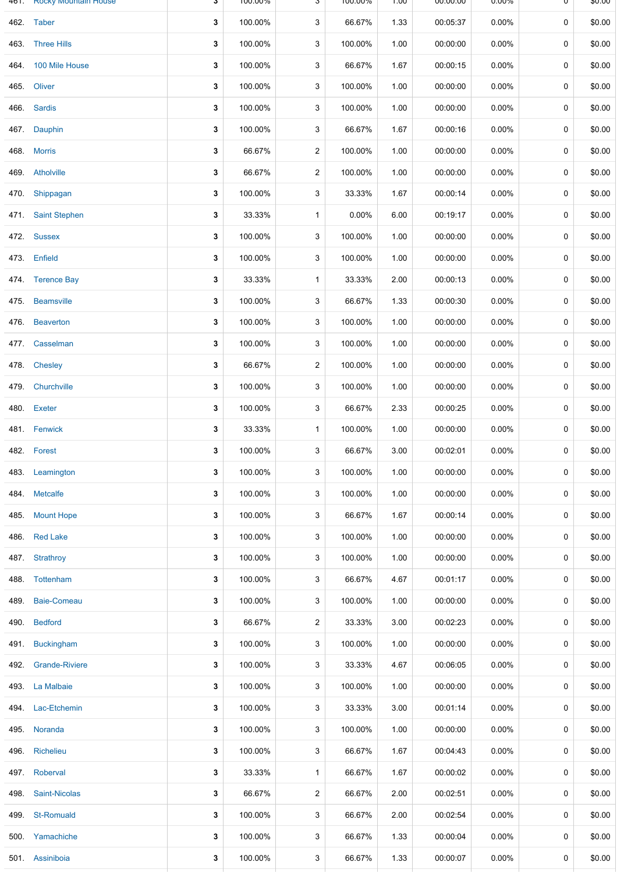|      | 461. ROCKY MOUNTAIN HOUSE | Ĵ | 100.00% | J              | 100.00% | UU.I | <b>00:00:00</b> | U.UU%    | U | <b>DU.UQ</b> |
|------|---------------------------|---|---------|----------------|---------|------|-----------------|----------|---|--------------|
|      | 462. Taber                | 3 | 100.00% | 3              | 66.67%  | 1.33 | 00:05:37        | $0.00\%$ | 0 | \$0.00       |
|      | 463. Three Hills          | 3 | 100.00% | 3              | 100.00% | 1.00 | 00:00:00        | $0.00\%$ | 0 | \$0.00       |
|      | 464. 100 Mile House       | 3 | 100.00% | 3              | 66.67%  | 1.67 | 00:00:15        | 0.00%    | 0 | \$0.00       |
|      | 465. Oliver               | 3 | 100.00% | 3              | 100.00% | 1.00 | 00:00:00        | $0.00\%$ | 0 | \$0.00       |
|      | 466. Sardis               | 3 | 100.00% | 3              | 100.00% | 1.00 | 00:00:00        | $0.00\%$ | 0 | \$0.00       |
| 467. | Dauphin                   | 3 | 100.00% | 3              | 66.67%  | 1.67 | 00:00:16        | $0.00\%$ | 0 | \$0.00       |
|      | 468. Morris               | 3 | 66.67%  | 2              | 100.00% | 1.00 | 00:00:00        | $0.00\%$ | 0 | \$0.00       |
|      | 469. Atholville           | 3 | 66.67%  | $\overline{2}$ | 100.00% | 1.00 | 00:00:00        | 0.00%    | 0 | \$0.00       |
|      | 470 Shippagan             | 3 | 100.00% | 3              | 33.33%  | 1.67 | 00:00:14        | $0.00\%$ | 0 | \$0.00       |
|      | 471. Saint Stephen        | 3 | 33.33%  | $\mathbf{1}$   | 0.00%   | 6.00 | 00:19:17        | 0.00%    | 0 | \$0.00       |
|      | 472. Sussex               | 3 | 100.00% | 3              | 100.00% | 1.00 | 00:00:00        | $0.00\%$ | 0 | \$0.00       |
|      | 473. Enfield              | 3 | 100.00% | 3              | 100.00% | 1.00 | 00:00:00        | 0.00%    | 0 | \$0.00       |
|      | 474. Terence Bay          | 3 | 33.33%  | $\mathbf{1}$   | 33.33%  | 2.00 | 00:00:13        | $0.00\%$ | 0 | \$0.00       |
|      | 475. Beamsville           | 3 | 100.00% | 3              | 66.67%  | 1.33 | 00:00:30        | $0.00\%$ | 0 | \$0.00       |
| 476. | <b>Beaverton</b>          | 3 | 100.00% | 3              | 100.00% | 1.00 | 00:00:00        | $0.00\%$ | 0 | \$0.00       |
|      | 477. Casselman            | 3 | 100.00% | 3              | 100.00% | 1.00 | 00:00:00        | 0.00%    | 0 | \$0.00       |
|      | 478. Chesley              | 3 | 66.67%  | $\overline{2}$ | 100.00% | 1.00 | 00:00:00        | 0.00%    | 0 | \$0.00       |
|      | 479. Churchville          | 3 | 100.00% | 3              | 100.00% | 1.00 | 00:00:00        | $0.00\%$ | 0 | \$0.00       |
|      | 480. Exeter               | 3 | 100.00% | 3              | 66.67%  | 2.33 | 00:00:25        | $0.00\%$ | 0 | \$0.00       |
|      | 481. Fenwick              | 3 | 33.33%  | $\mathbf{1}$   | 100.00% | 1.00 | 00:00:00        | $0.00\%$ | 0 | \$0.00       |
|      | 482. Forest               | 3 | 100.00% | 3              | 66.67%  | 3.00 | 00:02:01        | 0.00%    | 0 | \$0.00       |
|      | 483. Leamington           | 3 | 100.00% | 3              | 100.00% | 1.00 | 00:00:00        | 0.00%    | 0 | \$0.00       |
|      | 484. Metcalfe             | 3 | 100.00% | 3              | 100.00% | 1.00 | 00:00:00        | $0.00\%$ | 0 | \$0.00       |
| 485. | <b>Mount Hope</b>         | 3 | 100.00% | 3              | 66.67%  | 1.67 | 00:00:14        | $0.00\%$ | 0 | \$0.00       |
| 486. | <b>Red Lake</b>           | 3 | 100.00% | 3              | 100.00% | 1.00 | 00:00:00        | $0.00\%$ | 0 | \$0.00       |
| 487. | Strathroy                 | 3 | 100.00% | 3              | 100.00% | 1.00 | 00:00:00        | $0.00\%$ | 0 | \$0.00       |
|      | 488. Tottenham            | 3 | 100.00% | 3              | 66.67%  | 4.67 | 00:01:17        | $0.00\%$ | 0 | \$0.00       |
| 489. | Baie-Comeau               | 3 | 100.00% | 3              | 100.00% | 1.00 | 00:00:00        | $0.00\%$ | 0 | \$0.00       |
| 490. | <b>Bedford</b>            | 3 | 66.67%  | $\overline{2}$ | 33.33%  | 3.00 | 00:02:23        | $0.00\%$ | 0 | \$0.00       |
| 491. | <b>Buckingham</b>         | 3 | 100.00% | 3              | 100.00% | 1.00 | 00:00:00        | $0.00\%$ | 0 | \$0.00       |
|      | 492. Grande-Riviere       | 3 | 100.00% | 3              | 33.33%  | 4.67 | 00:06:05        | $0.00\%$ | 0 | \$0.00       |
|      | 493. La Malbaie           | 3 | 100.00% | 3              | 100.00% | 1.00 | 00:00:00        | $0.00\%$ | 0 | \$0.00       |
| 494. | Lac-Etchemin              | 3 | 100.00% | 3              | 33.33%  | 3.00 | 00:01:14        | $0.00\%$ | 0 | \$0.00       |
|      | 495. Noranda              | 3 | 100.00% | 3              | 100.00% | 1.00 | 00:00:00        | $0.00\%$ | 0 | \$0.00       |
| 496. | Richelieu                 | 3 | 100.00% | 3              | 66.67%  | 1.67 | 00:04:43        | $0.00\%$ | 0 | \$0.00       |
|      | 497. Roberval             | 3 | 33.33%  | 1              | 66.67%  | 1.67 | 00:00:02        | $0.00\%$ | 0 | \$0.00       |
| 498. | Saint-Nicolas             | 3 | 66.67%  | $\overline{c}$ | 66.67%  | 2.00 | 00:02:51        | $0.00\%$ | 0 | \$0.00       |
| 499. | <b>St-Romuald</b>         | 3 | 100.00% | 3              | 66.67%  | 2.00 | 00:02:54        | $0.00\%$ | 0 | \$0.00       |
|      | 500 Yamachiche            | 3 | 100.00% | 3              | 66.67%  | 1.33 | 00:00:04        | $0.00\%$ | 0 | \$0.00       |
|      | 501 Assiniboia            | 3 | 100.00% | 3              | 66.67%  | 1.33 | 00:00:07        | $0.00\%$ | 0 | \$0.00       |
|      |                           |   |         |                |         |      |                 |          |   |              |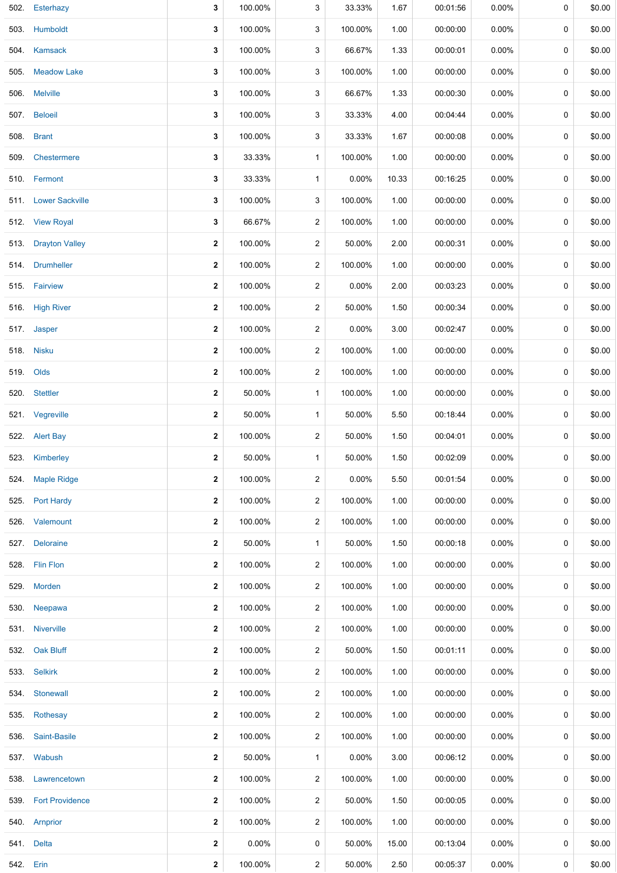| 502.      | Esterhazy            | 3                       | 100.00%  | 3                       | 33.33%   | 1.67  | 00:01:56 | 0.00%    | 0           | \$0.00 |
|-----------|----------------------|-------------------------|----------|-------------------------|----------|-------|----------|----------|-------------|--------|
| 503.      | Humboldt             | 3                       | 100.00%  | 3                       | 100.00%  | 1.00  | 00:00:00 | 0.00%    | 0           | \$0.00 |
|           | 504. Kamsack         | 3                       | 100.00%  | 3                       | 66.67%   | 1.33  | 00:00:01 | $0.00\%$ | 0           | \$0.00 |
| 505.      | <b>Meadow Lake</b>   | 3                       | 100.00%  | 3                       | 100.00%  | 1.00  | 00:00:00 | 0.00%    | 0           | \$0.00 |
| 506.      | <b>Melville</b>      | 3                       | 100.00%  | 3                       | 66.67%   | 1.33  | 00:00:30 | 0.00%    | 0           | \$0.00 |
|           | 507. Beloeil         | $\mathbf{3}$            | 100.00%  | 3                       | 33.33%   | 4.00  | 00:04:44 | 0.00%    | 0           | \$0.00 |
| 508.      | <b>Brant</b>         | 3                       | 100.00%  | 3                       | 33.33%   | 1.67  | 00:00:08 | $0.00\%$ | 0           | \$0.00 |
|           | 509. Chestermere     | 3                       | 33.33%   | $\mathbf{1}$            | 100.00%  | 1.00  | 00:00:00 | 0.00%    | 0           | \$0.00 |
|           | 510. Fermont         | $\mathbf{3}$            | 33.33%   | $\mathbf{1}$            | 0.00%    | 10.33 | 00:16:25 | 0.00%    | 0           | \$0.00 |
|           | 511. Lower Sackville | $\mathbf{3}$            | 100.00%  | 3                       | 100.00%  | 1.00  | 00:00:00 | 0.00%    | 0           | \$0.00 |
|           | 512. View Royal      | $\mathbf{3}$            | 66.67%   | $\overline{a}$          | 100.00%  | 1.00  | 00:00:00 | 0.00%    | 0           | \$0.00 |
|           | 513. Drayton Valley  | $\mathbf{2}$            | 100.00%  | $\overline{a}$          | 50.00%   | 2.00  | 00:00:31 | $0.00\%$ | 0           | \$0.00 |
|           | 514. Drumheller      | $\mathbf{2}$            | 100.00%  | $\overline{a}$          | 100.00%  | 1.00  | 00:00:00 | 0.00%    | 0           | \$0.00 |
|           | 515. Fairview        | $\mathbf{2}$            | 100.00%  | $\overline{2}$          | 0.00%    | 2.00  | 00:03:23 | 0.00%    | 0           | \$0.00 |
|           | 516. High River      | $\mathbf{2}$            | 100.00%  | $\overline{a}$          | 50.00%   | 1.50  | 00:00:34 | $0.00\%$ | 0           | \$0.00 |
|           | 517 Jasper           | $\mathbf{2}$            | 100.00%  | $\overline{2}$          | 0.00%    | 3.00  | 00:02:47 | $0.00\%$ | 0           | \$0.00 |
|           | 518. Nisku           | $\mathbf{2}$            | 100.00%  | $\overline{\mathbf{c}}$ | 100.00%  | 1.00  | 00:00:00 | $0.00\%$ | 0           | \$0.00 |
|           | 519. Olds            | $\mathbf{2}$            | 100.00%  | $\overline{a}$          | 100.00%  | 1.00  | 00:00:00 | $0.00\%$ | 0           | \$0.00 |
|           | 520. Stettler        | $\mathbf 2$             | 50.00%   | $\mathbf{1}$            | 100.00%  | 1.00  | 00:00:00 | $0.00\%$ | 0           | \$0.00 |
|           | 521. Vegreville      | $\mathbf{2}$            | 50.00%   | $\mathbf{1}$            | 50.00%   | 5.50  | 00:18:44 | 0.00%    | 0           | \$0.00 |
|           | 522. Alert Bay       | $\mathbf{2}$            | 100.00%  | $\overline{\mathbf{c}}$ | 50.00%   | 1.50  | 00:04:01 | $0.00\%$ | 0           | \$0.00 |
|           | 523. Kimberley       | $\overline{\mathbf{2}}$ | 50.00%   | $\mathbf{1}$            | 50.00%   | 1.50  | 00:02:09 | 0.00%    | 0           | \$0.00 |
|           | 524 Maple Ridge      | $\mathbf{2}$            | 100.00%  | $\overline{a}$          | 0.00%    | 5.50  | 00:01:54 | $0.00\%$ | 0           | \$0.00 |
|           | 525. Port Hardy      | $\mathbf 2$             | 100.00%  | $\overline{a}$          | 100.00%  | 1.00  | 00:00:00 | 0.00%    | 0           | \$0.00 |
| 526.      | Valemount            | $\mathbf{2}$            | 100.00%  | $\overline{2}$          | 100.00%  | 1.00  | 00:00:00 | $0.00\%$ | 0           | \$0.00 |
|           | 527. Deloraine       | 2                       | 50.00%   | $\mathbf{1}$            | 50.00%   | 1.50  | 00:00:18 | $0.00\%$ | 0           | \$0.00 |
|           | 528. Flin Flon       | $\mathbf{2}$            | 100.00%  | $\overline{2}$          | 100.00%  | 1.00  | 00:00:00 | $0.00\%$ | 0           | \$0.00 |
|           | 529. Morden          | $\mathbf{2}$            | 100.00%  | $\overline{2}$          | 100.00%  | 1.00  | 00:00:00 | $0.00\%$ | 0           | \$0.00 |
| 530.      | Neepawa              | $\mathbf{2}$            | 100.00%  | $\overline{2}$          | 100.00%  | 1.00  | 00:00:00 | $0.00\%$ | 0           | \$0.00 |
|           | 531. Niverville      | $\mathbf{2}$            | 100.00%  | $\overline{2}$          | 100.00%  | 1.00  | 00:00:00 | $0.00\%$ | 0           | \$0.00 |
|           | 532. Oak Bluff       | $\mathbf{2}$            | 100.00%  | $\overline{2}$          | 50.00%   | 1.50  | 00:01:11 | 0.00%    | 0           | \$0.00 |
|           | 533. Selkirk         | $\mathbf{2}$            | 100.00%  | $\overline{2}$          | 100.00%  | 1.00  | 00:00:00 | 0.00%    | 0           | \$0.00 |
|           | 534. Stonewall       | $\mathbf{2}$            | 100.00%  | $\overline{2}$          | 100.00%  | 1.00  | 00:00:00 | 0.00%    | 0           | \$0.00 |
|           | 535. Rothesay        | $\mathbf{2}$            | 100.00%  | $\overline{2}$          | 100.00%  | 1.00  | 00:00:00 | $0.00\%$ | 0           | \$0.00 |
|           | 536. Saint-Basile    | $\mathbf{2}$            | 100.00%  | $\overline{2}$          | 100.00%  | 1.00  | 00:00:00 | $0.00\%$ | $\mathbf 0$ | \$0.00 |
|           | 537. Wabush          | $\mathbf{2}$            | 50.00%   | $\mathbf{1}$            | $0.00\%$ | 3.00  | 00:06:12 | $0.00\%$ | 0           | \$0.00 |
|           | 538. Lawrencetown    | $\mathbf{2}$            | 100.00%  | $\overline{2}$          | 100.00%  | 1.00  | 00:00:00 | $0.00\%$ | 0           | \$0.00 |
|           | 539. Fort Providence | $\mathbf{2}$            | 100.00%  | $\overline{2}$          | 50.00%   | 1.50  | 00:00:05 | $0.00\%$ | 0           | \$0.00 |
|           | 540. Arnprior        | $\mathbf{2}$            | 100.00%  | $\overline{2}$          | 100.00%  | 1.00  | 00:00:00 | $0.00\%$ | 0           | \$0.00 |
|           | 541. Delta           | $\mathbf{2}$            | $0.00\%$ | 0                       | 50.00%   | 15.00 | 00:13:04 | $0.00\%$ | 0           | \$0.00 |
| 542. Erin |                      | 2                       | 100.00%  | $\overline{a}$          | 50.00%   | 2.50  | 00:05:37 | $0.00\%$ | 0           | \$0.00 |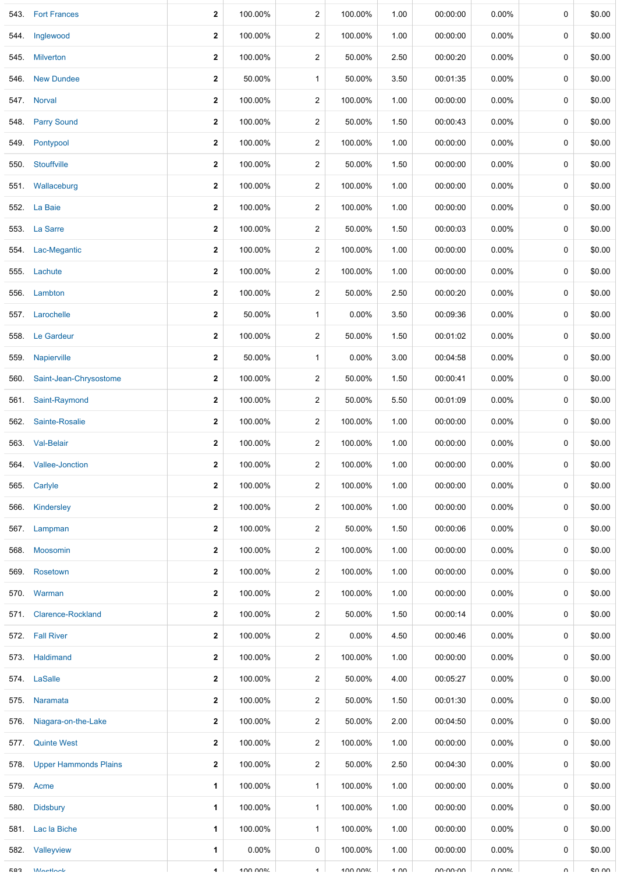| 543.       | <b>Fort Frances</b>          | $\mathbf{2}$         | 100.00% | $\overline{c}$          | 100.00% | 1.00 | 00:00:00    | 0.00%    | 0           | \$0.00  |
|------------|------------------------------|----------------------|---------|-------------------------|---------|------|-------------|----------|-------------|---------|
| 544.       | Inglewood                    | $\mathbf{2}$         | 100.00% | $\overline{c}$          | 100.00% | 1.00 | 00:00:00    | 0.00%    | 0           | \$0.00  |
| 545.       | <b>Milverton</b>             | $\mathbf{2}$         | 100.00% | $\overline{c}$          | 50.00%  | 2.50 | 00:00:20    | $0.00\%$ | 0           | \$0.00  |
| 546.       | <b>New Dundee</b>            | $\mathbf{2}$         | 50.00%  | $\mathbf{1}$            | 50.00%  | 3.50 | 00:01:35    | 0.00%    | 0           | \$0.00  |
| 547.       | <b>Norval</b>                | $\boldsymbol{2}$     | 100.00% | $\boldsymbol{2}$        | 100.00% | 1.00 | 00:00:00    | 0.00%    | 0           | \$0.00  |
|            |                              | $\mathbf{2}$         |         |                         |         |      |             |          | 0           |         |
| 548.       | <b>Parry Sound</b>           |                      | 100.00% | $\overline{\mathbf{c}}$ | 50.00%  | 1.50 | 00:00:43    | 0.00%    |             | \$0.00  |
| 549.       | Pontypool                    | $\boldsymbol{2}$     | 100.00% | $\boldsymbol{2}$        | 100.00% | 1.00 | 00:00:00    | 0.00%    | 0           | \$0.00  |
| 550.       | Stouffville                  | $\boldsymbol{2}$     | 100.00% | $\overline{\mathbf{c}}$ | 50.00%  | 1.50 | 00:00:00    | 0.00%    | $\mathbf 0$ | \$0.00  |
| 551.       | Wallaceburg                  | $\boldsymbol{2}$     | 100.00% | $\overline{c}$          | 100.00% | 1.00 | 00:00:00    | $0.00\%$ | 0           | \$0.00  |
|            | 552. La Baie                 | $\mathbf{2}$         | 100.00% | $\overline{c}$          | 100.00% | 1.00 | 00:00:00    | $0.00\%$ | 0           | \$0.00  |
| 553.       | La Sarre                     | $\mathbf 2$          | 100.00% | $\overline{2}$          | 50.00%  | 1.50 | 00:00:03    | 0.00%    | 0           | \$0.00  |
| 554.       | Lac-Megantic                 | $\boldsymbol{2}$     | 100.00% | $\overline{c}$          | 100.00% | 1.00 | 00:00:00    | $0.00\%$ | 0           | \$0.00  |
| 555.       | Lachute                      | $\mathbf{2}$         | 100.00% | $\overline{2}$          | 100.00% | 1.00 | 00:00:00    | 0.00%    | 0           | \$0.00  |
|            | 556. Lambton                 | $\mathbf{2}$         | 100.00% | $\overline{c}$          | 50.00%  | 2.50 | 00:00:20    | 0.00%    | 0           | \$0.00  |
| 557.       | Larochelle                   | $\mathbf{2}$         | 50.00%  | $\mathbf{1}$            | 0.00%   | 3.50 | 00:09:36    | 0.00%    | 0           | \$0.00  |
| 558.       | Le Gardeur                   | $\boldsymbol{2}$     | 100.00% | $\overline{c}$          | 50.00%  | 1.50 | 00:01:02    | 0.00%    | 0           | \$0.00  |
| 559.       | Napierville                  | $\mathbf{2}$         | 50.00%  | $\mathbf{1}$            | 0.00%   | 3.00 | 00:04:58    | 0.00%    | 0           | \$0.00  |
| 560.       | Saint-Jean-Chrysostome       | $\mathbf{2}$         | 100.00% | $\overline{2}$          | 50.00%  | 1.50 | 00:00:41    | 0.00%    | 0           | \$0.00  |
| 561.       | Saint-Raymond                | $\mathbf{2}$         | 100.00% | $\overline{c}$          | 50.00%  | 5.50 | 00:01:09    | $0.00\%$ | 0           | \$0.00  |
| 562.       | Sainte-Rosalie               | $\mathbf{2}$         | 100.00% | $\overline{2}$          | 100.00% | 1.00 | 00:00:00    | 0.00%    | 0           | \$0.00  |
|            | 563. Val-Belair              | $\mathbf{2}$         | 100.00% | $\overline{c}$          | 100.00% | 1.00 | 00:00:00    | $0.00\%$ | 0           | \$0.00  |
|            | 564. Vallee-Jonction         | $\mathbf{2}$         | 100.00% | $\overline{2}$          | 100.00% | 1.00 | 00:00:00    | 0.00%    | 0           | \$0.00  |
|            | 565. Carlyle                 | $\mathbf{2}$         | 100.00% | $\overline{2}$          | 100.00% | 1.00 | 00:00:00    | $0.00\%$ | 0           | \$0.00  |
| 566.       | Kindersley                   | $\mathbf{2}$         | 100.00% | $\overline{2}$          | 100.00% | 1.00 | 00:00:00    | $0.00\%$ | 0           | \$0.00  |
| 567.       | Lampman                      | $\mathbf{2}$         | 100.00% | $\overline{c}$          | 50.00%  | 1.50 | 00:00:06    | $0.00\%$ | 0           | \$0.00  |
| 568.       | Moosomin                     | $\mathbf{2}$         | 100.00% | $\overline{c}$          | 100.00% | 1.00 | 00:00:00    | $0.00\%$ | 0           | \$0.00  |
| 569.       | Rosetown                     | $\mathbf{2}$         | 100.00% | $\overline{2}$          | 100.00% | 1.00 | 00:00:00    | $0.00\%$ | 0           | \$0.00  |
|            | 570. Warman                  | $\mathbf{2}$         | 100.00% | $\overline{c}$          | 100.00% | 1.00 | 00:00:00    | $0.00\%$ | 0           | \$0.00  |
| 571.       | <b>Clarence-Rockland</b>     | $\mathbf{2}$         | 100.00% | $\overline{2}$          | 50.00%  | 1.50 | 00:00:14    | $0.00\%$ | 0           | \$0.00  |
|            | 572. Fall River              | $\mathbf{2}$         | 100.00% | 2                       | 0.00%   | 4.50 | 00:00:46    | $0.00\%$ | 0           | \$0.00  |
| 573.       | Haldimand                    | $\mathbf{2}$         | 100.00% | $\overline{2}$          | 100.00% | 1.00 | 00:00:00    | $0.00\%$ | 0           | \$0.00  |
|            | 574. LaSalle                 | $\mathbf{2}$         | 100.00% | 2                       | 50.00%  | 4.00 | 00:05:27    | $0.00\%$ | 0           | \$0.00  |
| 575.       | Naramata                     | $\mathbf{2}$         | 100.00% | $\overline{a}$          | 50.00%  | 1.50 | 00:01:30    | $0.00\%$ | 0           | \$0.00  |
| 576.       | Niagara-on-the-Lake          | $\boldsymbol{2}$     | 100.00% | $\overline{2}$          | 50.00%  | 2.00 | 00:04:50    | $0.00\%$ | 0           | \$0.00  |
| 577.       | <b>Quinte West</b>           | $\mathbf{2}$         | 100.00% | $\overline{c}$          | 100.00% | 1.00 | 00:00:00    | $0.00\%$ | 0           | \$0.00  |
| 578.       | <b>Upper Hammonds Plains</b> | $\mathbf{2}$         | 100.00% | $\overline{2}$          | 50.00%  | 2.50 | 00:04:30    | $0.00\%$ | 0           | \$0.00  |
|            | 579. Acme                    | 1                    | 100.00% | $\mathbf{1}$            | 100.00% | 1.00 | 00:00:00    | $0.00\%$ | 0           | \$0.00  |
| 580.       | Didsbury                     | 1                    | 100.00% | $\mathbf{1}$            | 100.00% | 1.00 | 00:00:00    | 0.00%    | 0           | \$0.00  |
| 581.       | Lac la Biche                 | 1                    | 100.00% | $\mathbf{1}$            | 100.00% | 1.00 | 00:00:00    | 0.00%    | 0           | \$0.00  |
| 582.       | Valleyview                   | 1                    | 0.00%   | 0                       | 100.00% | 1.00 | 00:00:00    | 0.00%    | 0           | \$0.00  |
| <b>COO</b> | <i>Montinok</i>              | $\blacktriangleleft$ | 100 000 | $\blacktriangleleft$    | 100 DDD | 1.00 | $vu$ . $vu$ | U UU0V   | $\cap$      | $en$ nn |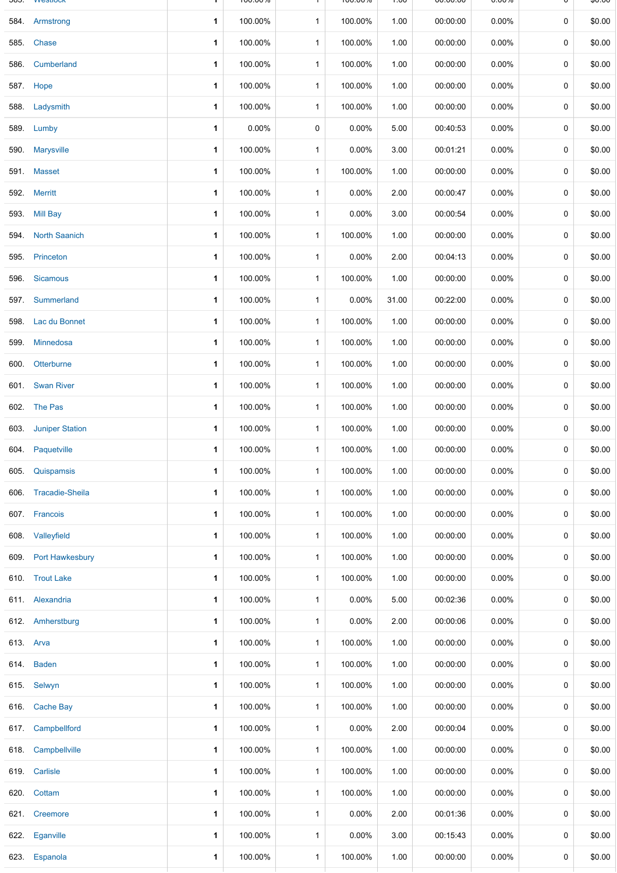| \$0.00<br>0<br>0<br>\$0.00<br>\$0.00<br>0<br>0<br>\$0.00<br>\$0.00<br>0 |
|-------------------------------------------------------------------------|
|                                                                         |
|                                                                         |
|                                                                         |
|                                                                         |
|                                                                         |
| 0<br>\$0.00                                                             |
| \$0.00<br>0                                                             |
| $\mathbf 0$<br>\$0.00                                                   |
| 0<br>\$0.00                                                             |
| \$0.00<br>0                                                             |
| \$0.00<br>0                                                             |
| \$0.00<br>0                                                             |
| 0<br>\$0.00                                                             |
| \$0.00<br>0                                                             |
| \$0.00<br>0                                                             |
| \$0.00<br>0                                                             |
| 0<br>\$0.00                                                             |
| 0<br>\$0.00                                                             |
| \$0.00<br>0                                                             |
| \$0.00<br>0                                                             |
| \$0.00<br>0                                                             |
| \$0.00<br>0                                                             |
| 0<br>\$0.00                                                             |
| 0<br>\$0.00                                                             |
| 0<br>\$0.00                                                             |
| 0<br>\$0.00                                                             |
| 0<br>\$0.00                                                             |
| 0<br>\$0.00                                                             |
| 0<br>\$0.00                                                             |
| \$0.00<br>0                                                             |
| 0<br>\$0.00                                                             |
| 0<br>\$0.00                                                             |
| 0<br>\$0.00                                                             |
| 0<br>\$0.00                                                             |
| 0<br>\$0.00                                                             |
| 0<br>\$0.00                                                             |
| 0<br>\$0.00                                                             |
| 0<br>\$0.00                                                             |
|                                                                         |
| \$0.00<br>0                                                             |
|                                                                         |

1 1 00.00.00 0.00.00 0.00.00 1 0.00.00 0.00.00 1

 $\mathsf{U}$   $\mathsf{V}$   $\mathsf{V}$ 

**JOJ.** WESHUCK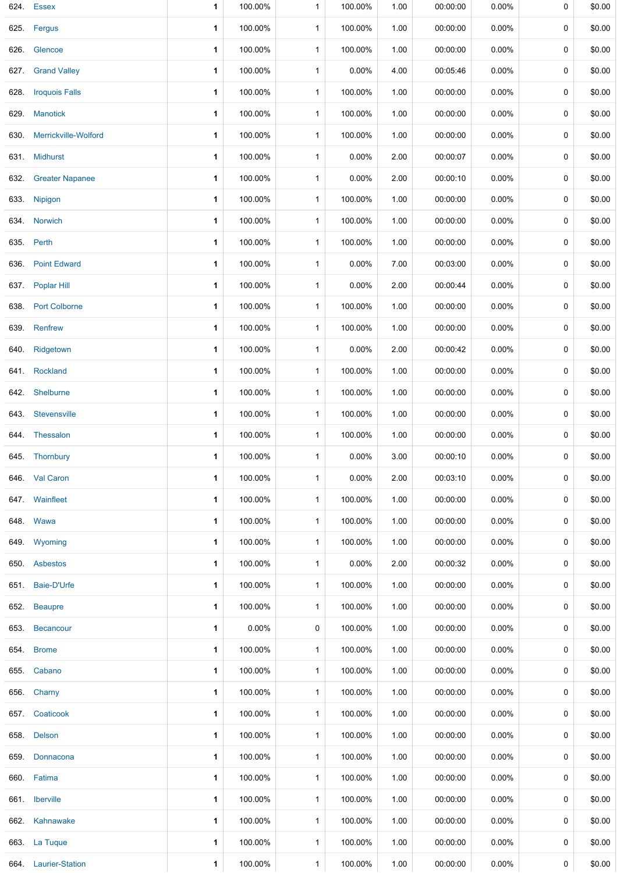|      | 624. Essex             | 1           | 100.00% | 1            | 100.00% | 1.00 | 00:00:00 | 0.00%    | 0 | \$0.00 |
|------|------------------------|-------------|---------|--------------|---------|------|----------|----------|---|--------|
|      | 625. Fergus            | 1           | 100.00% | $\mathbf{1}$ | 100.00% | 1.00 | 00:00:00 | 0.00%    | 0 | \$0.00 |
|      | 626. Glencoe           | 1           | 100.00% | $\mathbf{1}$ | 100.00% | 1.00 | 00:00:00 | $0.00\%$ | 0 | \$0.00 |
|      | 627. Grand Valley      | 1           | 100.00% | 1            | 0.00%   | 4.00 | 00:05:46 | 0.00%    | 0 | \$0.00 |
| 628. | <b>Iroquois Falls</b>  | 1           | 100.00% | $\mathbf{1}$ | 100.00% | 1.00 | 00:00:00 | 0.00%    | 0 | \$0.00 |
|      | 629. Manotick          | 1           | 100.00% | $\mathbf{1}$ | 100.00% | 1.00 | 00:00:00 | 0.00%    | 0 | \$0.00 |
| 630. | Merrickville-Wolford   | 1           | 100.00% | $\mathbf{1}$ | 100.00% | 1.00 | 00:00:00 | 0.00%    | 0 | \$0.00 |
|      | 631. Midhurst          | 1           | 100.00% | 1            | 0.00%   | 2.00 | 00:00:07 | 0.00%    | 0 | \$0.00 |
| 632. | <b>Greater Napanee</b> | 1           | 100.00% | 1            | 0.00%   | 2.00 | 00:00:10 | 0.00%    | 0 | \$0.00 |
|      | 633. Nipigon           | 1           | 100.00% | $\mathbf{1}$ | 100.00% | 1.00 | 00:00:00 | 0.00%    | 0 | \$0.00 |
|      | 634. Norwich           | 1           | 100.00% | 1            | 100.00% | 1.00 | 00:00:00 | 0.00%    | 0 | \$0.00 |
|      | 635. Perth             | 1           | 100.00% | $\mathbf{1}$ | 100.00% | 1.00 | 00:00:00 | 0.00%    | 0 | \$0.00 |
|      | 636. Point Edward      | 1           | 100.00% | 1            | 0.00%   | 7.00 | 00:03:00 | 0.00%    | 0 | \$0.00 |
|      | 637. Poplar Hill       | 1           | 100.00% | $\mathbf{1}$ | 0.00%   | 2.00 | 00:00:44 | 0.00%    | 0 | \$0.00 |
|      | 638. Port Colborne     | 1           | 100.00% | $\mathbf{1}$ | 100.00% | 1.00 | 00:00:00 | $0.00\%$ | 0 | \$0.00 |
| 639. | Renfrew                | 1           | 100.00% | $\mathbf{1}$ | 100.00% | 1.00 | 00:00:00 | 0.00%    | 0 | \$0.00 |
| 640. | Ridgetown              | 1           | 100.00% | 1            | 0.00%   | 2.00 | 00:00:42 | 0.00%    | 0 | \$0.00 |
|      | 641. Rockland          | 1           | 100.00% | 1            | 100.00% | 1.00 | 00:00:00 | 0.00%    | 0 | \$0.00 |
|      | 642. Shelburne         | 1           | 100.00% | 1            | 100.00% | 1.00 | 00:00:00 | 0.00%    | 0 | \$0.00 |
| 643. | Stevensville           | 1           | 100.00% | $\mathbf{1}$ | 100.00% | 1.00 | 00:00:00 | 0.00%    | 0 | \$0.00 |
|      | 644. Thessalon         | $\mathbf 1$ | 100.00% | $\mathbf{1}$ | 100.00% | 1.00 | 00:00:00 | $0.00\%$ | 0 | \$0.00 |
|      | 645. Thornbury         | 1           | 100.00% | 1            | 0.00%   | 3.00 | 00:00:10 | 0.00%    | 0 | \$0.00 |
|      | 646 Val Caron          | 1           | 100.00% | $\mathbf{1}$ | 0.00%   | 2.00 | 00:03:10 | $0.00\%$ | 0 | \$0.00 |
|      | 647. Wainfleet         | 1           | 100.00% | $\mathbf{1}$ | 100.00% | 1.00 | 00:00:00 | 0.00%    | 0 | \$0.00 |
|      | 648. Wawa              | 1           | 100.00% | $\mathbf{1}$ | 100.00% | 1.00 | 00:00:00 | 0.00%    | 0 | \$0.00 |
|      | 649. Wyoming           | 1           | 100.00% | $\mathbf{1}$ | 100.00% | 1.00 | 00:00:00 | 0.00%    | 0 | \$0.00 |
|      | 650. Asbestos          | 1           | 100.00% | 1            | 0.00%   | 2.00 | 00:00:32 | $0.00\%$ | 0 | \$0.00 |
|      | 651. Baie-D'Urfe       | 1           | 100.00% | $\mathbf{1}$ | 100.00% | 1.00 | 00:00:00 | 0.00%    | 0 | \$0.00 |
|      | 652. Beaupre           | 1           | 100.00% | $\mathbf{1}$ | 100.00% | 1.00 | 00:00:00 | 0.00%    | 0 | \$0.00 |
|      | 653. Becancour         | 1           | 0.00%   | 0            | 100.00% | 1.00 | 00:00:00 | 0.00%    | 0 | \$0.00 |
|      | 654. Brome             | 1           | 100.00% | 1            | 100.00% | 1.00 | 00:00:00 | $0.00\%$ | 0 | \$0.00 |
|      | 655. Cabano            | 1           | 100.00% | $\mathbf{1}$ | 100.00% | 1.00 | 00:00:00 | 0.00%    | 0 | \$0.00 |
|      | 656. Charny            | 1           | 100.00% | $\mathbf{1}$ | 100.00% | 1.00 | 00:00:00 | $0.00\%$ | 0 | \$0.00 |
|      | 657. Coaticook         | 1           | 100.00% | $\mathbf{1}$ | 100.00% | 1.00 | 00:00:00 | 0.00%    | 0 | \$0.00 |
|      | 658. Delson            | 1           | 100.00% | $\mathbf{1}$ | 100.00% | 1.00 | 00:00:00 | $0.00\%$ | 0 | \$0.00 |
|      | 659. Donnacona         | 1           | 100.00% | $\mathbf{1}$ | 100.00% | 1.00 | 00:00:00 | 0.00%    | 0 | \$0.00 |
|      | 660. Fatima            | 1           | 100.00% | $\mathbf{1}$ | 100.00% | 1.00 | 00:00:00 | 0.00%    | 0 | \$0.00 |
|      | 661. Iberville         | 1           | 100.00% | 1            | 100.00% | 1.00 | 00:00:00 | 0.00%    | 0 | \$0.00 |
|      | 662. Kahnawake         | 1           | 100.00% | $\mathbf{1}$ | 100.00% | 1.00 | 00:00:00 | 0.00%    | 0 | \$0.00 |
|      | 663. La Tuque          | 1           | 100.00% | $\mathbf{1}$ | 100.00% | 1.00 | 00:00:00 | 0.00%    | 0 | \$0.00 |
|      | 664. Laurier-Station   | 1           | 100.00% | $\mathbf{1}$ | 100.00% | 1.00 | 00:00:00 | 0.00%    | 0 | \$0.00 |